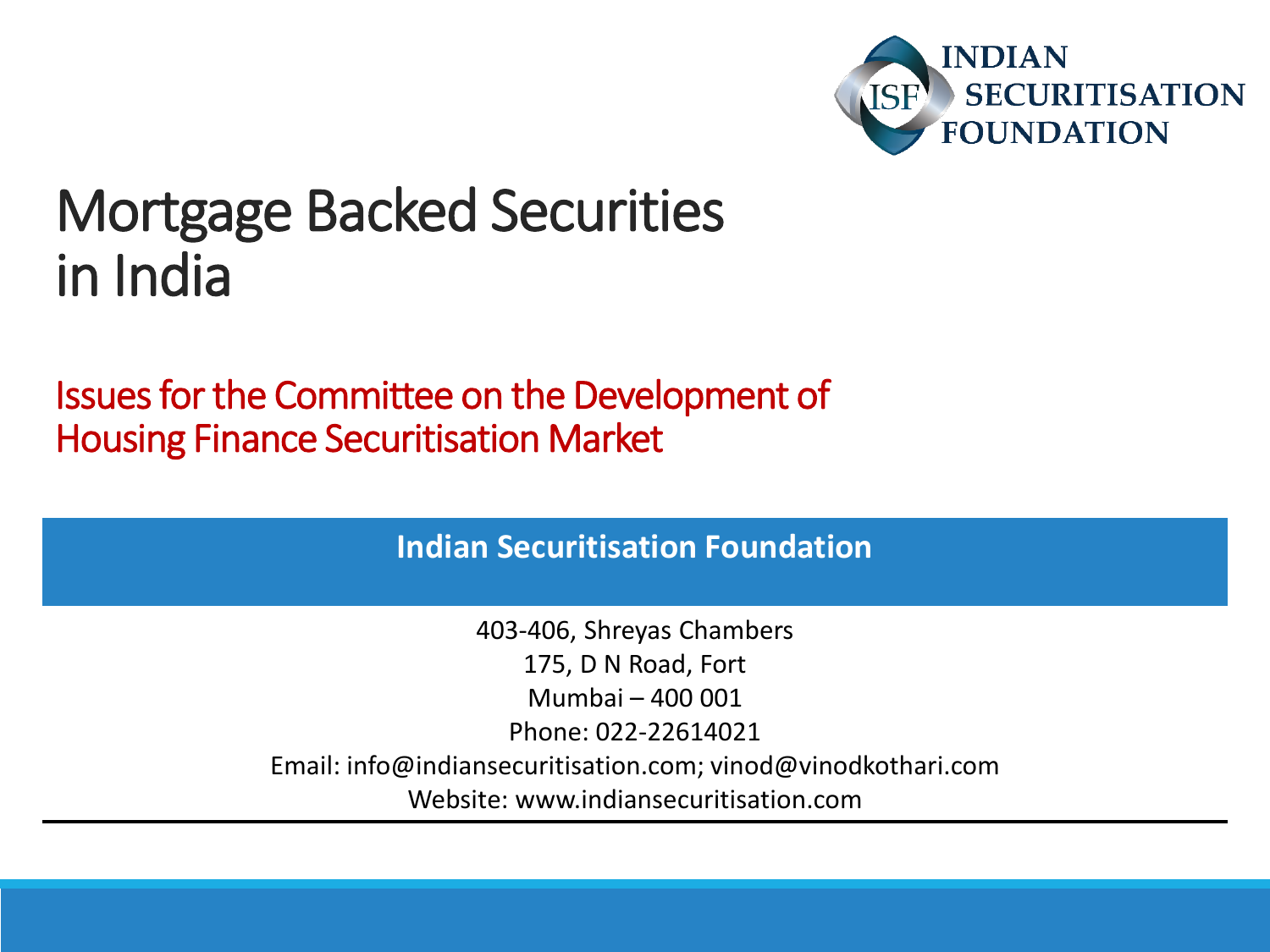

#### Mortgage Backed Securities in India

Issues for the Committee on the Development of Housing Finance Securitisation Market

**Indian Securitisation Foundation**

403-406, Shreyas Chambers 175, D N Road, Fort Mumbai – 400 001 Phone: 022-22614021 Email: info@indiansecuritisation.com; vinod@vinodkothari.com Website: www.indiansecuritisation.com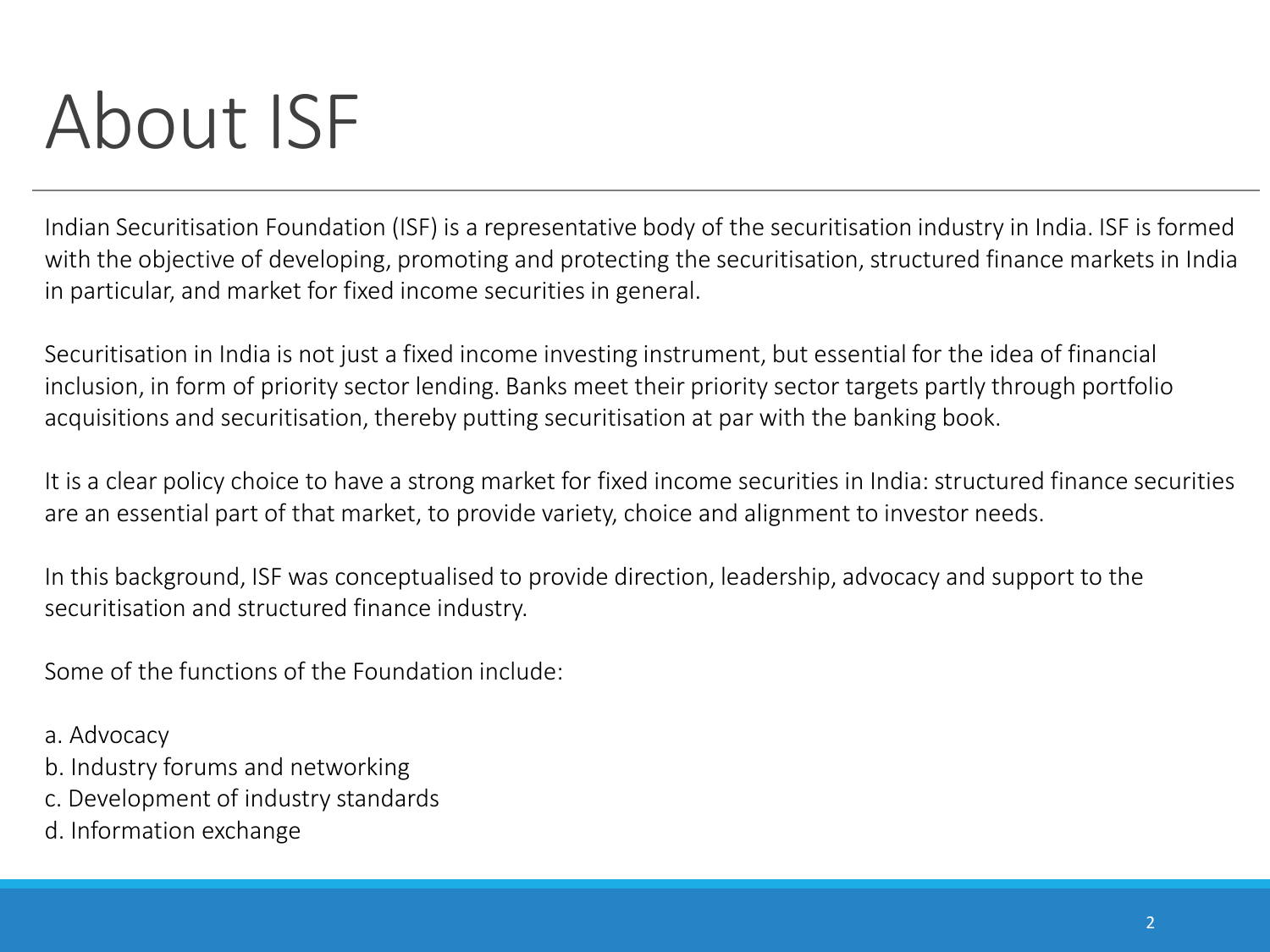## About ISF

Indian Securitisation Foundation (ISF) is a representative body of the securitisation industry in India. ISF is formed with the objective of developing, promoting and protecting the securitisation, structured finance markets in India in particular, and market for fixed income securities in general.

Securitisation in India is not just a fixed income investing instrument, but essential for the idea of financial inclusion, in form of priority sector lending. Banks meet their priority sector targets partly through portfolio acquisitions and securitisation, thereby putting securitisation at par with the banking book.

It is a clear policy choice to have a strong market for fixed income securities in India: structured finance securities are an essential part of that market, to provide variety, choice and alignment to investor needs.

In this background, ISF was conceptualised to provide direction, leadership, advocacy and support to the securitisation and structured finance industry.

Some of the functions of the Foundation include:

- a. Advocacy
- b. Industry forums and networking
- c. Development of industry standards
- d. Information exchange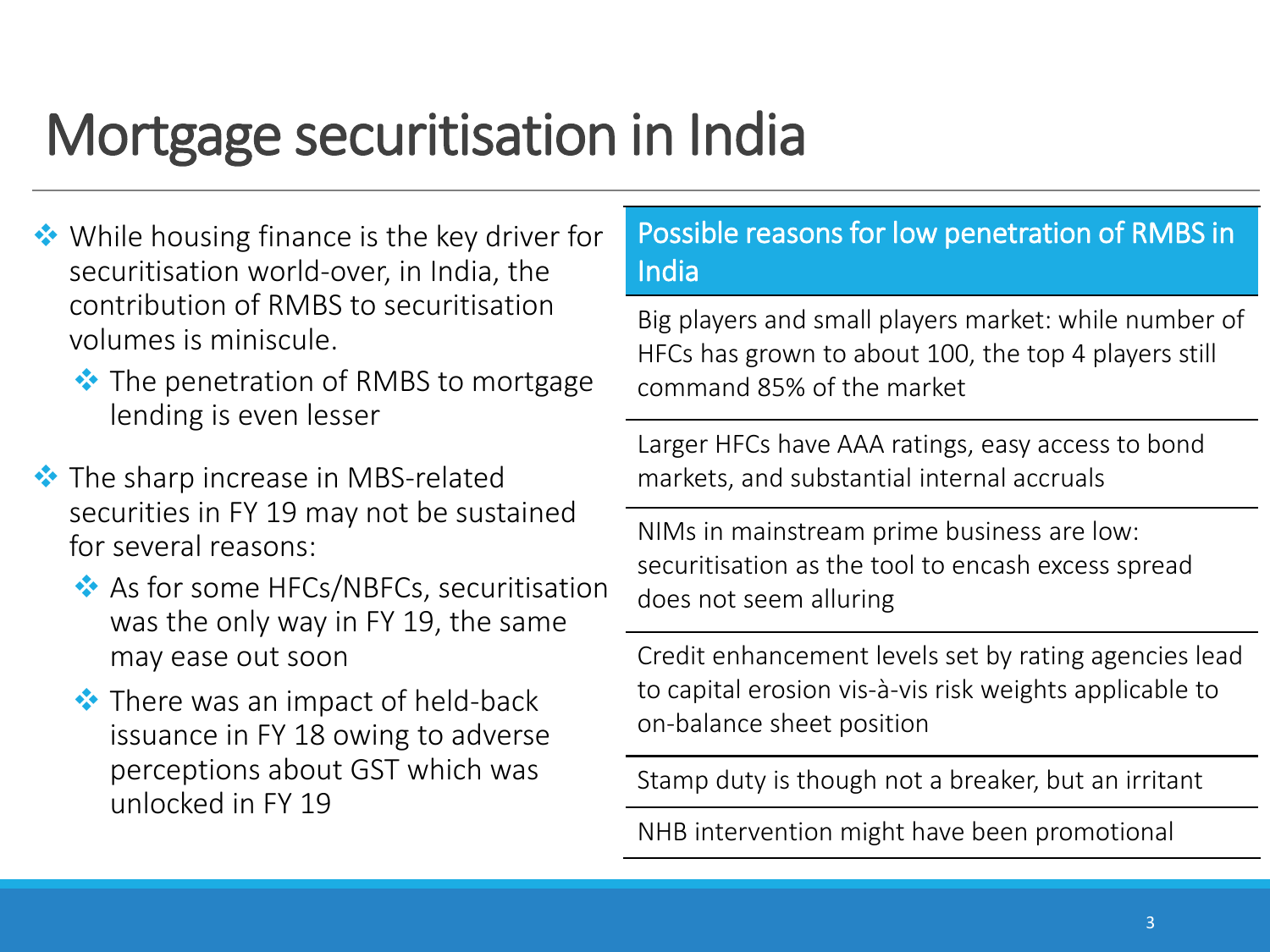#### Mortgage securitisation in India

- **◆** While housing finance is the key driver for securitisation world-over, in India, the contribution of RMBS to securitisation volumes is miniscule.
	- $\bullet\bullet$  The penetration of RMBS to mortgage lending is even lesser
- **◆** The sharp increase in MBS-related securities in FY 19 may not be sustained for several reasons:
	- As for some HFCs/NBFCs, securitisation was the only way in FY 19, the same may ease out soon
	- **◆** There was an impact of held-back issuance in FY 18 owing to adverse perceptions about GST which was unlocked in FY 19

#### Possible reasons for low penetration of RMBS in India

Big players and small players market: while number of HFCs has grown to about 100, the top 4 players still command 85% of the market

Larger HFCs have AAA ratings, easy access to bond markets, and substantial internal accruals

NIMs in mainstream prime business are low: securitisation as the tool to encash excess spread does not seem alluring

Credit enhancement levels set by rating agencies lead to capital erosion vis-à-vis risk weights applicable to on-balance sheet position

Stamp duty is though not a breaker, but an irritant

NHB intervention might have been promotional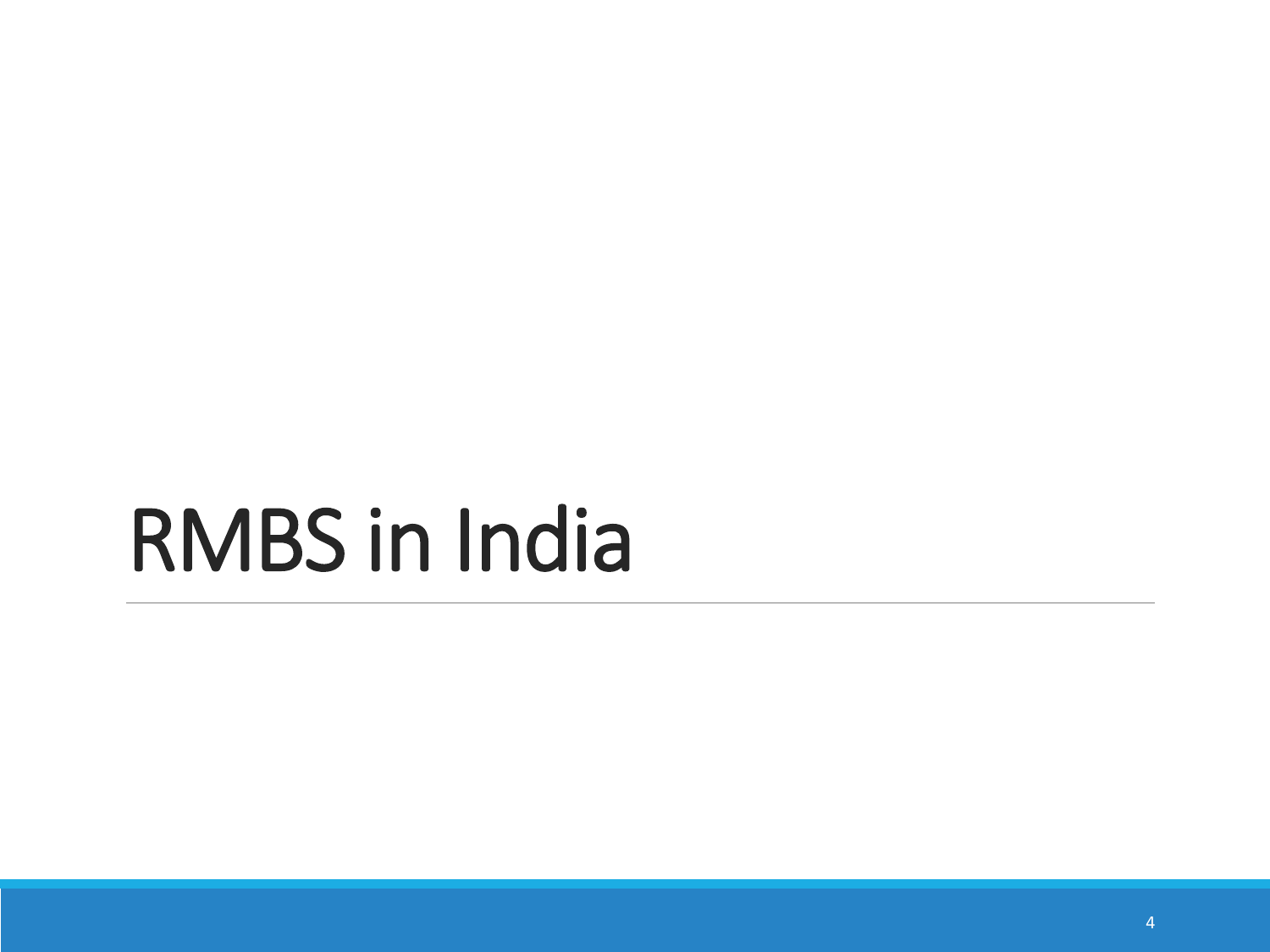# RMBS in India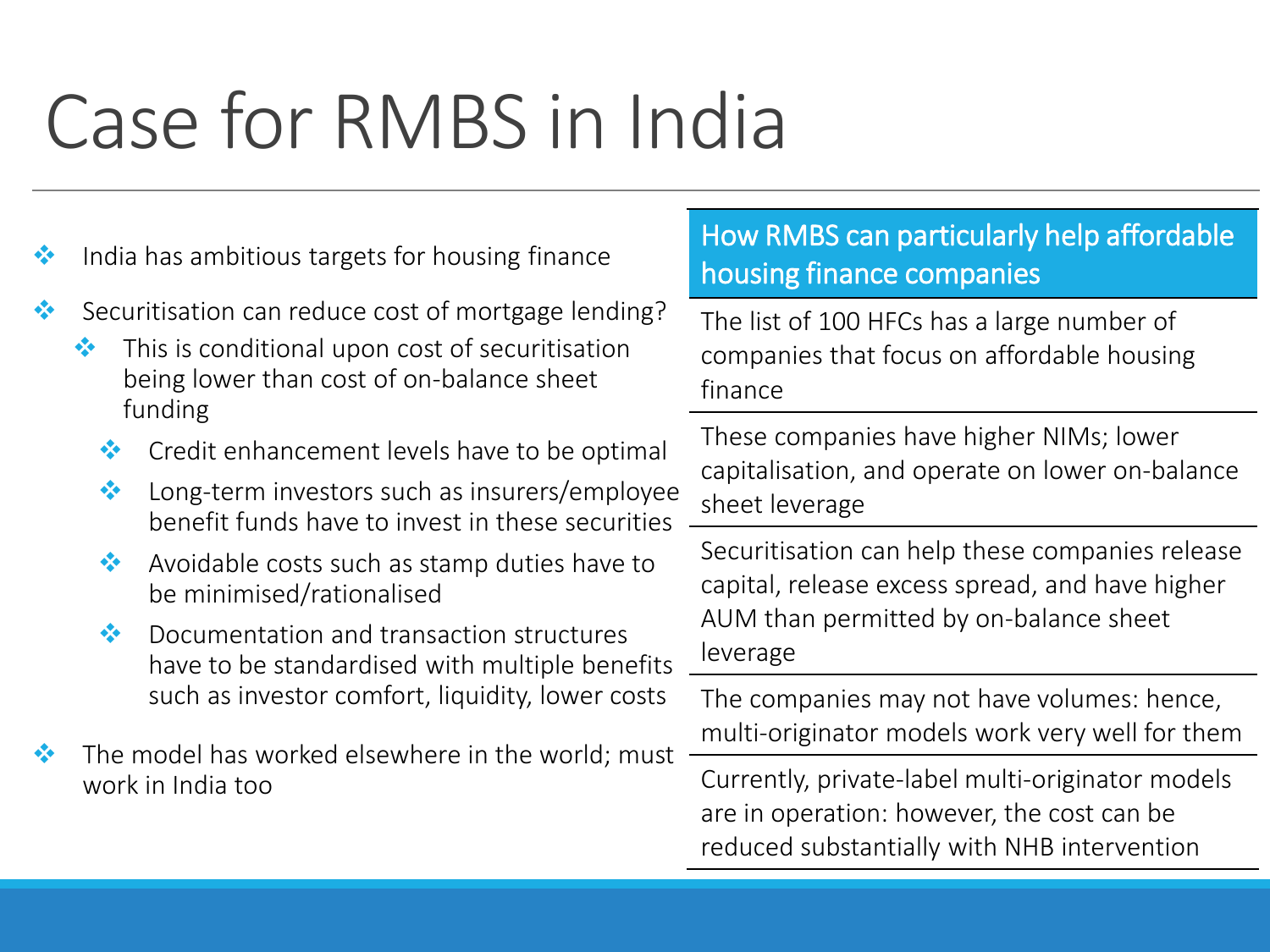# Case for RMBS in India

- $\cdot$  India has ambitious targets for housing finance
- Securitisation can reduce cost of mortgage lending?
	- $\cdot \cdot$  This is conditional upon cost of securitisation being lower than cost of on-balance sheet funding
		- **◆** Credit enhancement levels have to be optimal
		- ◆ Long-term investors such as insurers/employee benefit funds have to invest in these securities
		- Avoidable costs such as stamp duties have to be minimised/rationalised
		- ◆ Documentation and transaction structures have to be standardised with multiple benefits such as investor comfort, liquidity, lower costs
- $\cdot$  The model has worked elsewhere in the world; must work in India too

#### How RMBS can particularly help affordable housing finance companies

The list of 100 HFCs has a large number of companies that focus on affordable housing finance

These companies have higher NIMs; lower capitalisation, and operate on lower on-balance sheet leverage

Securitisation can help these companies release capital, release excess spread, and have higher AUM than permitted by on-balance sheet leverage

The companies may not have volumes: hence, multi-originator models work very well for them

Currently, private-label multi-originator models are in operation: however, the cost can be reduced substantially with NHB intervention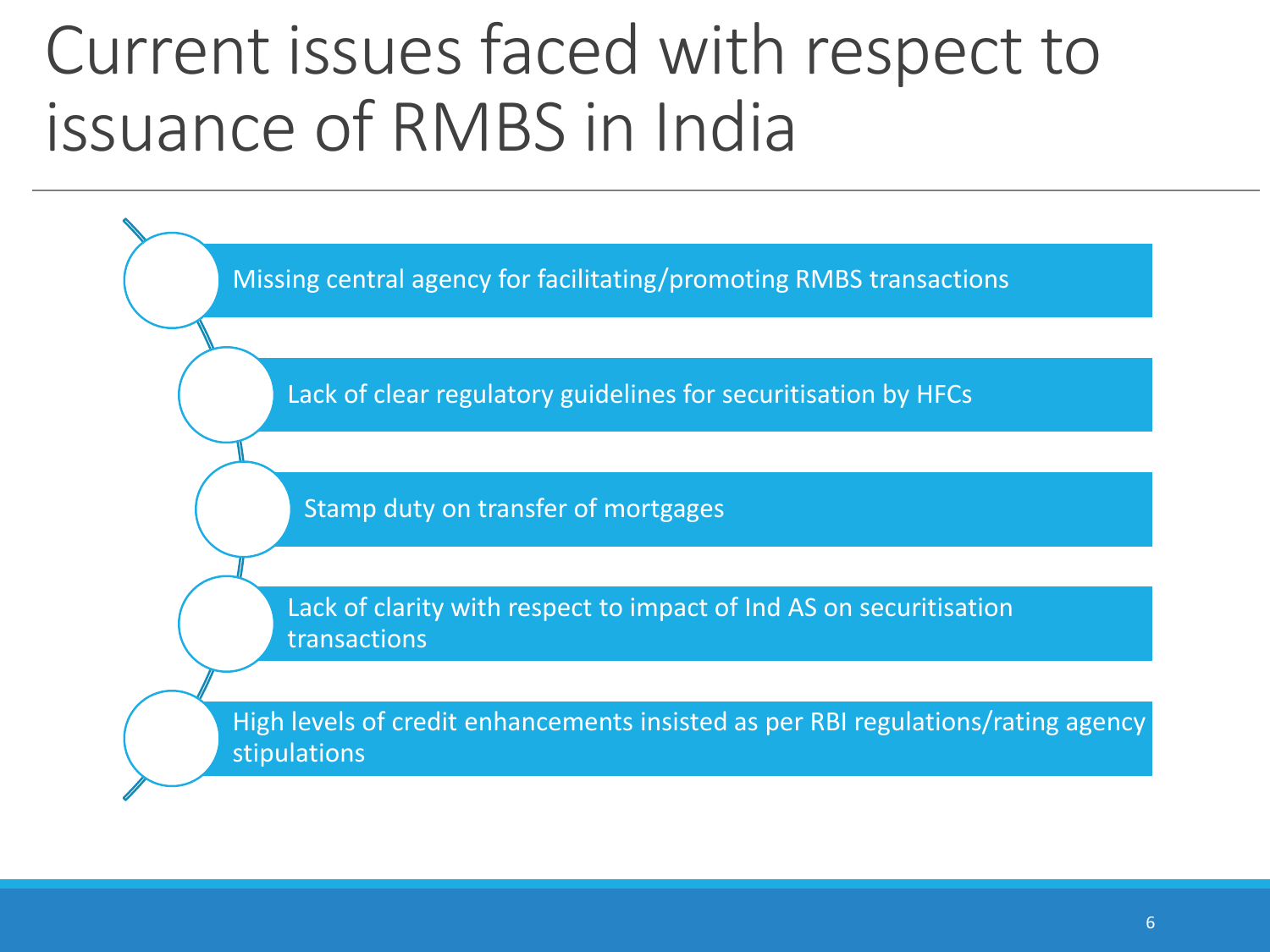### Current issues faced with respect to issuance of RMBS in India

Missing central agency for facilitating/promoting RMBS transactions

Lack of clear regulatory guidelines for securitisation by HFCs

Stamp duty on transfer of mortgages

Lack of clarity with respect to impact of Ind AS on securitisation transactions

High levels of credit enhancements insisted as per RBI regulations/rating agency stipulations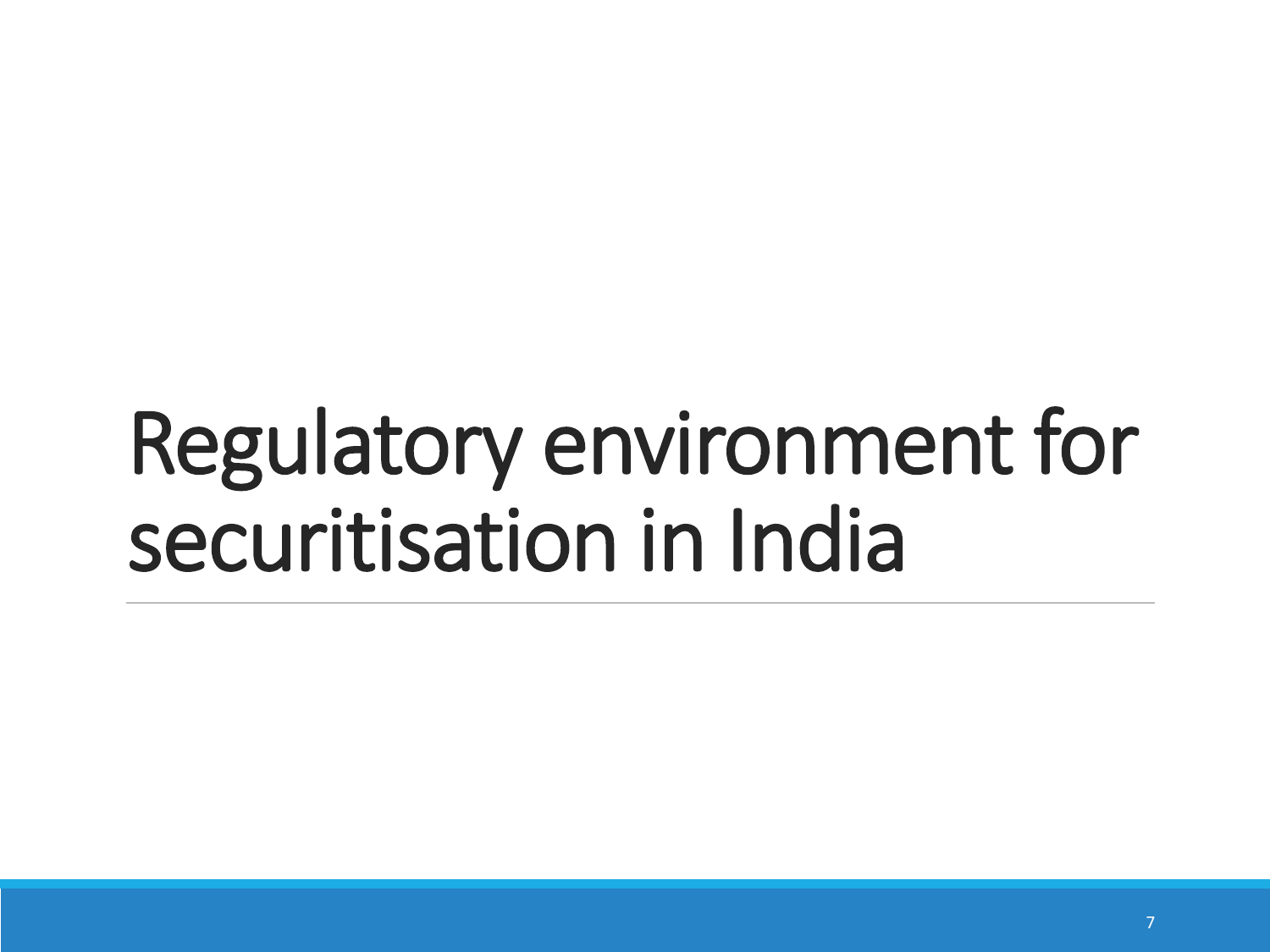# Regulatory environment for securitisation in India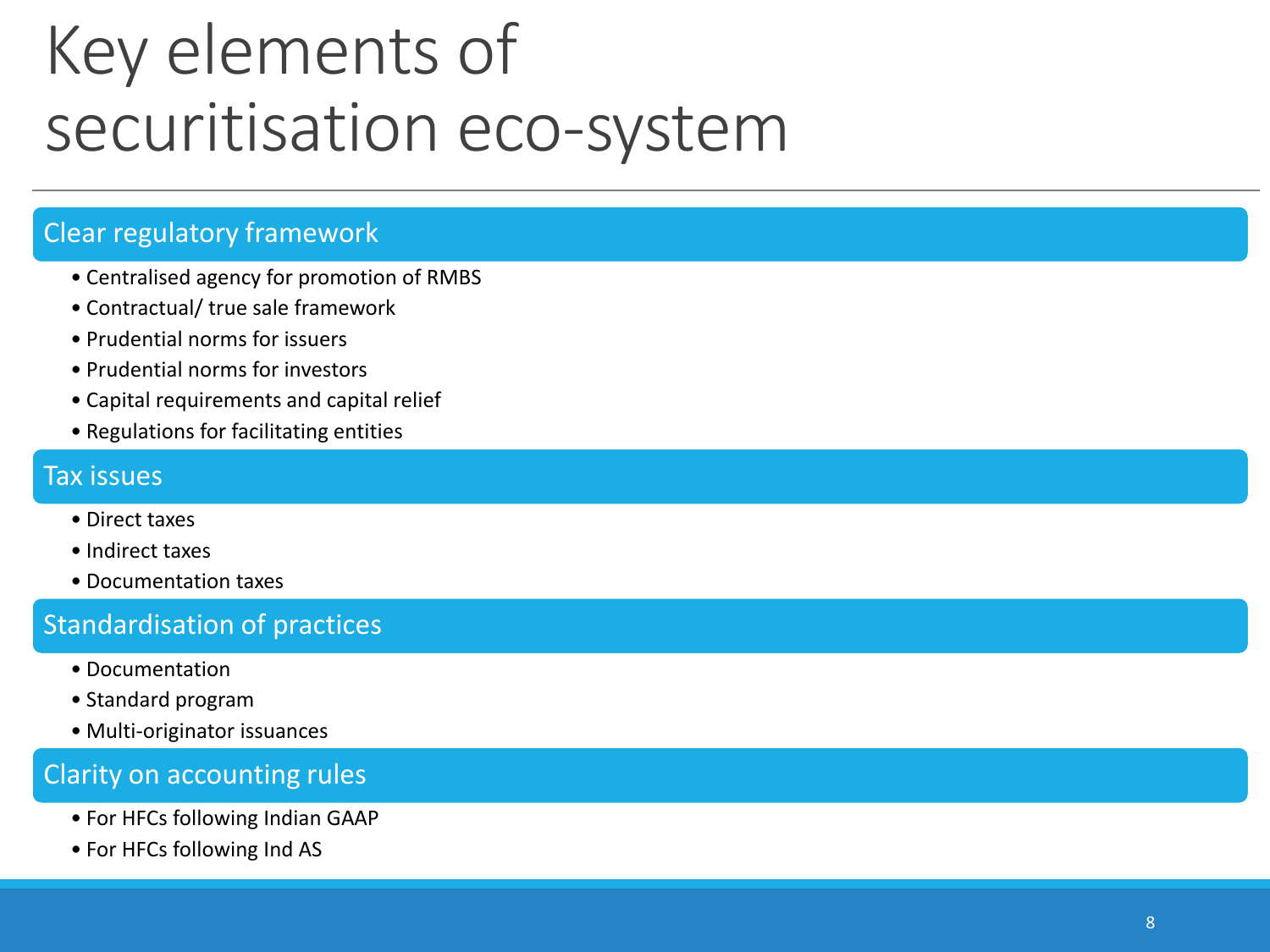### Key elements of securitisation eco-system

#### Clear regulatory framework

- Centralised agency for promotion of RMBS
- Contractual/ true sale framework
- Prudential norms for issuers
- Prudential norms for investors
- Capital requirements and capital relief
- Regulations for facilitating entities

#### Tax issues

- Direct taxes
- Indirect taxes
- Documentation taxes

#### Standardisation of practices

- Documentation
- Standard program
- Multi-originator issuances

#### Clarity on accounting rules

- For HFCs following Indian GAAP
- For HFCs following Ind AS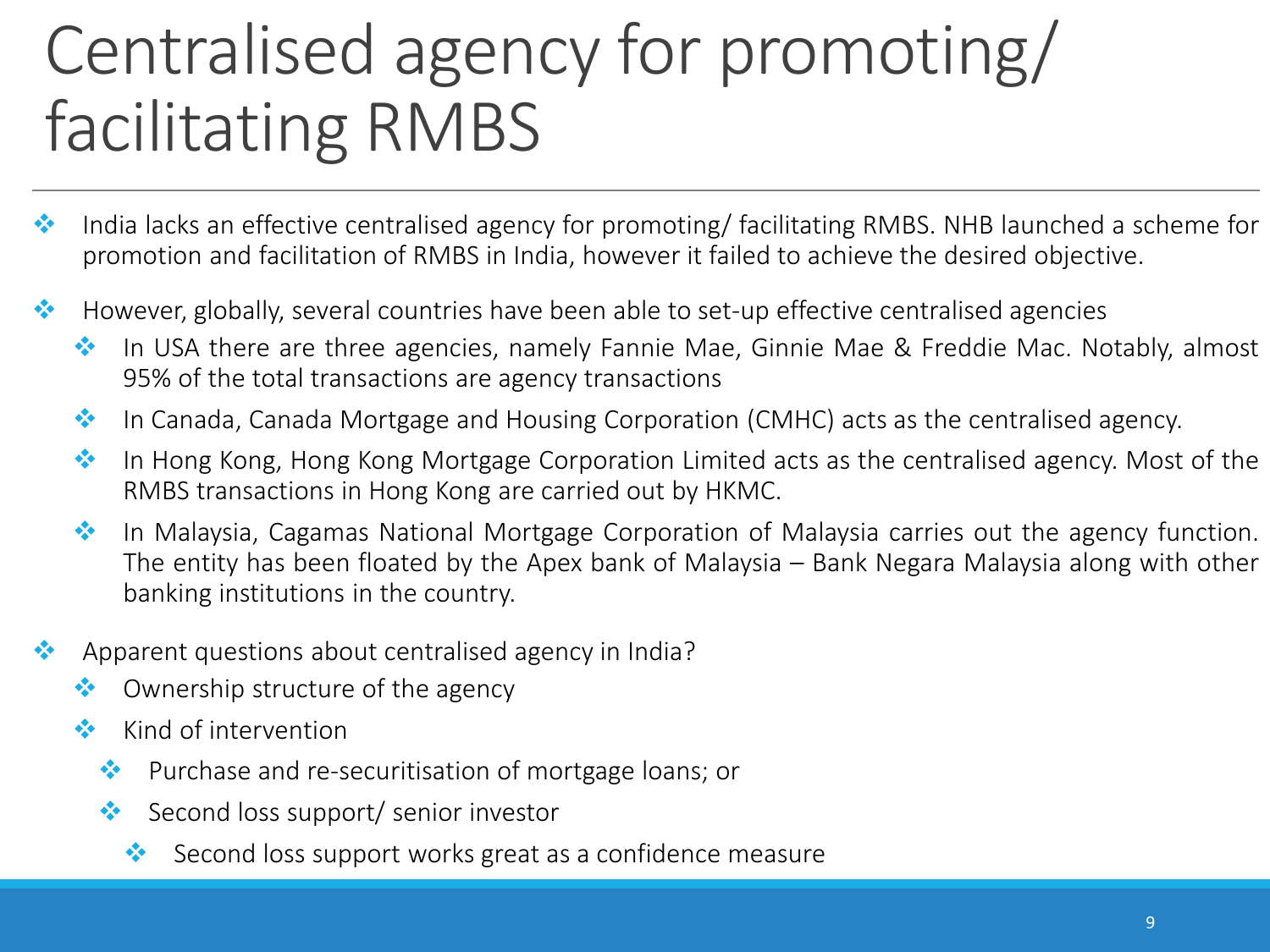## Centralised agency for promoting/ facilitating RMBS

- $\cdot \cdot$  India lacks an effective centralised agency for promoting/ facilitating RMBS. NHB launched a scheme for promotion and facilitation of RMBS in India, however it failed to achieve the desired objective.
- $\cdot \cdot$  However, globally, several countries have been able to set-up effective centralised agencies
	- ◆ In USA there are three agencies, namely Fannie Mae, Ginnie Mae & Freddie Mac. Notably, almost 95% of the total transactions are agency transactions
	- ◆ In Canada, Canada Mortgage and Housing Corporation (CMHC) acts as the centralised agency.
	- **In Hong Kong, Hong Kong Mortgage Corporation Limited acts as the centralised agency. Most of the** RMBS transactions in Hong Kong are carried out by HKMC.
	- **In Malaysia, Cagamas National Mortgage Corporation of Malaysia carries out the agency function.** The entity has been floated by the Apex bank of Malaysia – Bank Negara Malaysia along with other banking institutions in the country.
- \*\* Apparent questions about centralised agency in India?
	- $\bullet\bullet$  Ownership structure of the agency
	- $\bullet$  Kind of intervention
		- ◆ Purchase and re-securitisation of mortgage loans; or
		- $\bullet\bullet\bullet$  Second loss support/ senior investor
			- Second loss support works great as a confidence measure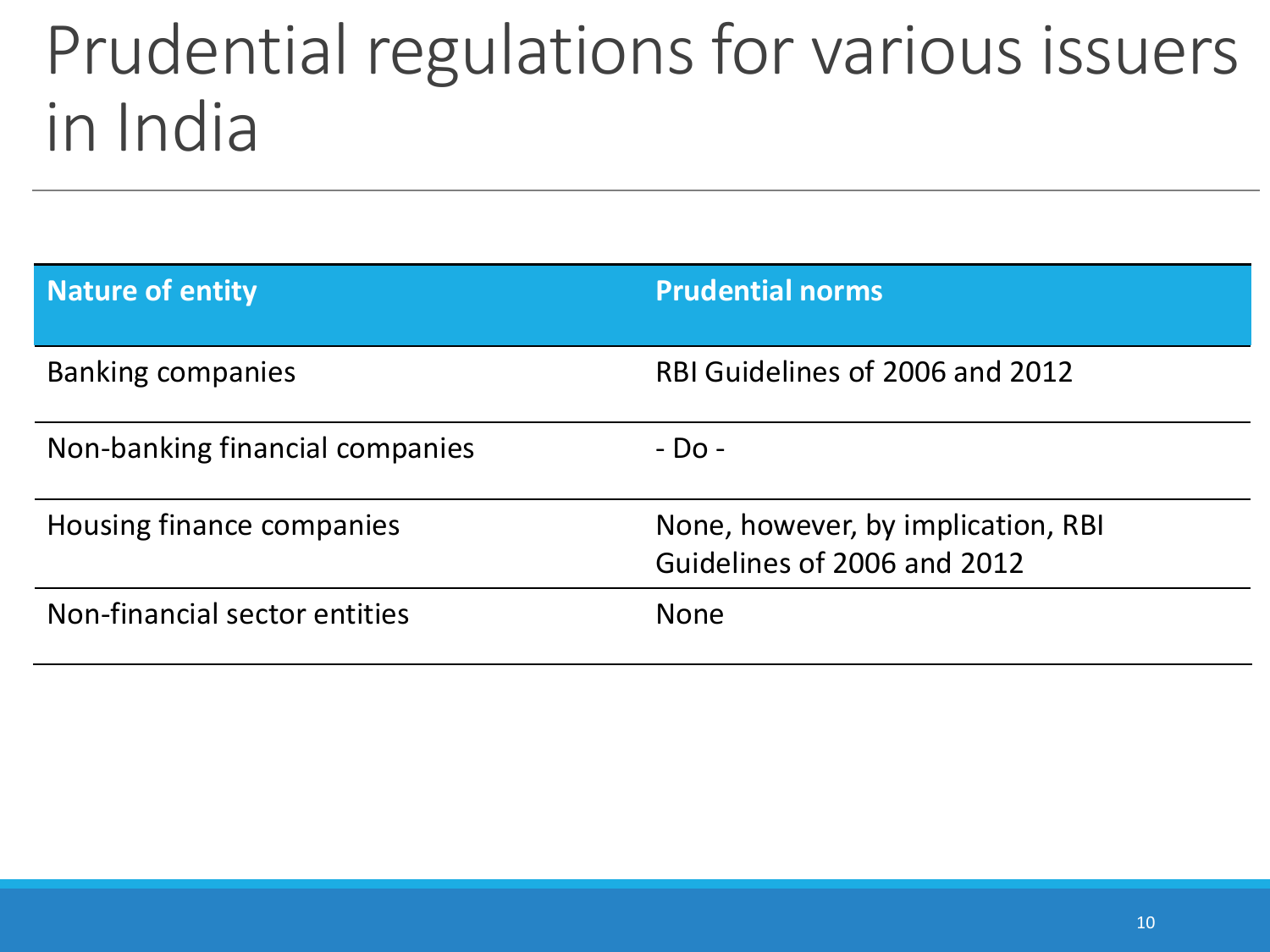### Prudential regulations for various issuers in India

| <b>Nature of entity</b>         | <b>Prudential norms</b>                                           |
|---------------------------------|-------------------------------------------------------------------|
| <b>Banking companies</b>        | RBI Guidelines of 2006 and 2012                                   |
| Non-banking financial companies | - Do -                                                            |
| Housing finance companies       | None, however, by implication, RBI<br>Guidelines of 2006 and 2012 |
| Non-financial sector entities   | <b>None</b>                                                       |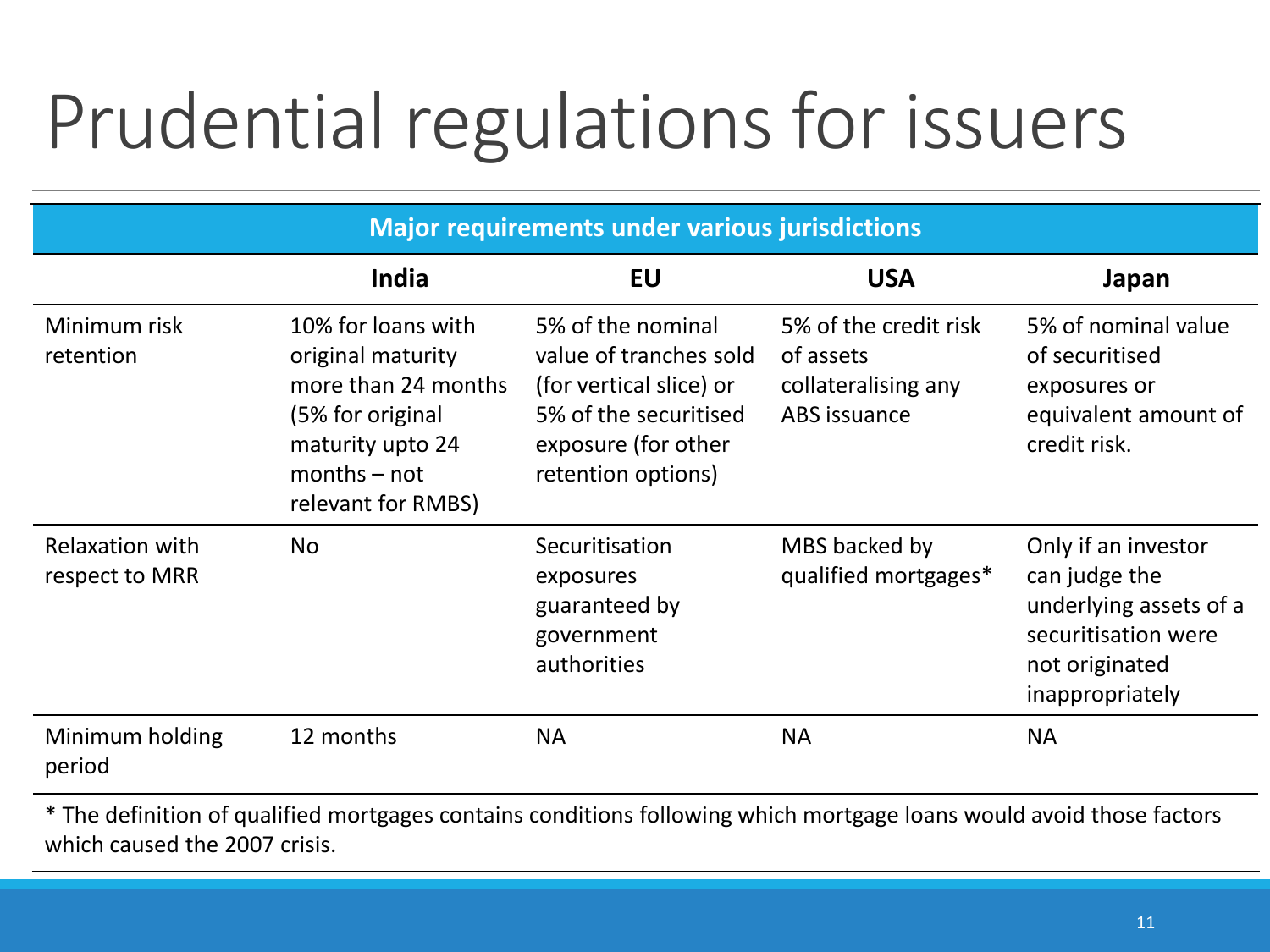# Prudential regulations for issuers

| <b>Major requirements under various jurisdictions</b> |                                                                                                                                                |                                                                                                                                              |                                                                           |                                                                                                                            |
|-------------------------------------------------------|------------------------------------------------------------------------------------------------------------------------------------------------|----------------------------------------------------------------------------------------------------------------------------------------------|---------------------------------------------------------------------------|----------------------------------------------------------------------------------------------------------------------------|
|                                                       | India                                                                                                                                          | <b>EU</b>                                                                                                                                    | <b>USA</b>                                                                | Japan                                                                                                                      |
| Minimum risk<br>retention                             | 10% for loans with<br>original maturity<br>more than 24 months<br>(5% for original<br>maturity upto 24<br>$months - not$<br>relevant for RMBS) | 5% of the nominal<br>value of tranches sold<br>(for vertical slice) or<br>5% of the securitised<br>exposure (for other<br>retention options) | 5% of the credit risk<br>of assets<br>collateralising any<br>ABS issuance | 5% of nominal value<br>of securitised<br>exposures or<br>equivalent amount of<br>credit risk.                              |
| <b>Relaxation with</b><br>respect to MRR              | <b>No</b>                                                                                                                                      | Securitisation<br>exposures<br>guaranteed by<br>government<br>authorities                                                                    | MBS backed by<br>qualified mortgages*                                     | Only if an investor<br>can judge the<br>underlying assets of a<br>securitisation were<br>not originated<br>inappropriately |
| Minimum holding<br>period                             | 12 months                                                                                                                                      | <b>NA</b>                                                                                                                                    | <b>NA</b>                                                                 | <b>NA</b>                                                                                                                  |

\* The definition of qualified mortgages contains conditions following which mortgage loans would avoid those factors which caused the 2007 crisis.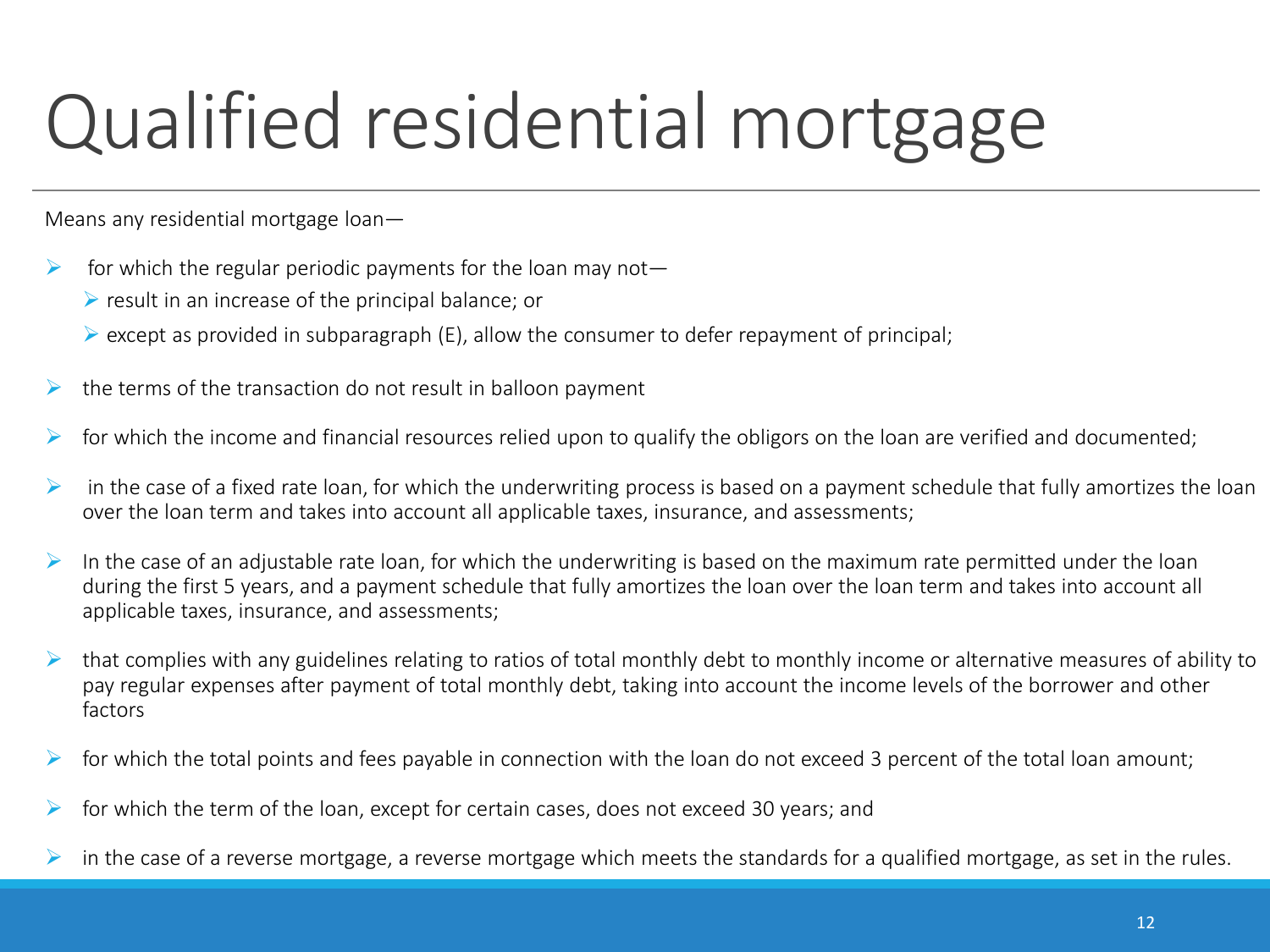# Qualified residential mortgage

Means any residential mortgage loan—

- $\triangleright$  for which the regular periodic payments for the loan may not
	- $\triangleright$  result in an increase of the principal balance; or
	- $\triangleright$  except as provided in subparagraph (E), allow the consumer to defer repayment of principal;
- $\triangleright$  the terms of the transaction do not result in balloon payment
- $\triangleright$  for which the income and financial resources relied upon to qualify the obligors on the loan are verified and documented;
- $\triangleright$  in the case of a fixed rate loan, for which the underwriting process is based on a payment schedule that fully amortizes the loan over the loan term and takes into account all applicable taxes, insurance, and assessments;
- In the case of an adjustable rate loan, for which the underwriting is based on the maximum rate permitted under the loan during the first 5 years, and a payment schedule that fully amortizes the loan over the loan term and takes into account all applicable taxes, insurance, and assessments;
- that complies with any guidelines relating to ratios of total monthly debt to monthly income or alternative measures of ability to pay regular expenses after payment of total monthly debt, taking into account the income levels of the borrower and other factors
- $\triangleright$  for which the total points and fees payable in connection with the loan do not exceed 3 percent of the total loan amount;
- $\triangleright$  for which the term of the loan, except for certain cases, does not exceed 30 years; and
- in the case of a reverse mortgage, a reverse mortgage which meets the standards for a qualified mortgage, as set in the rules.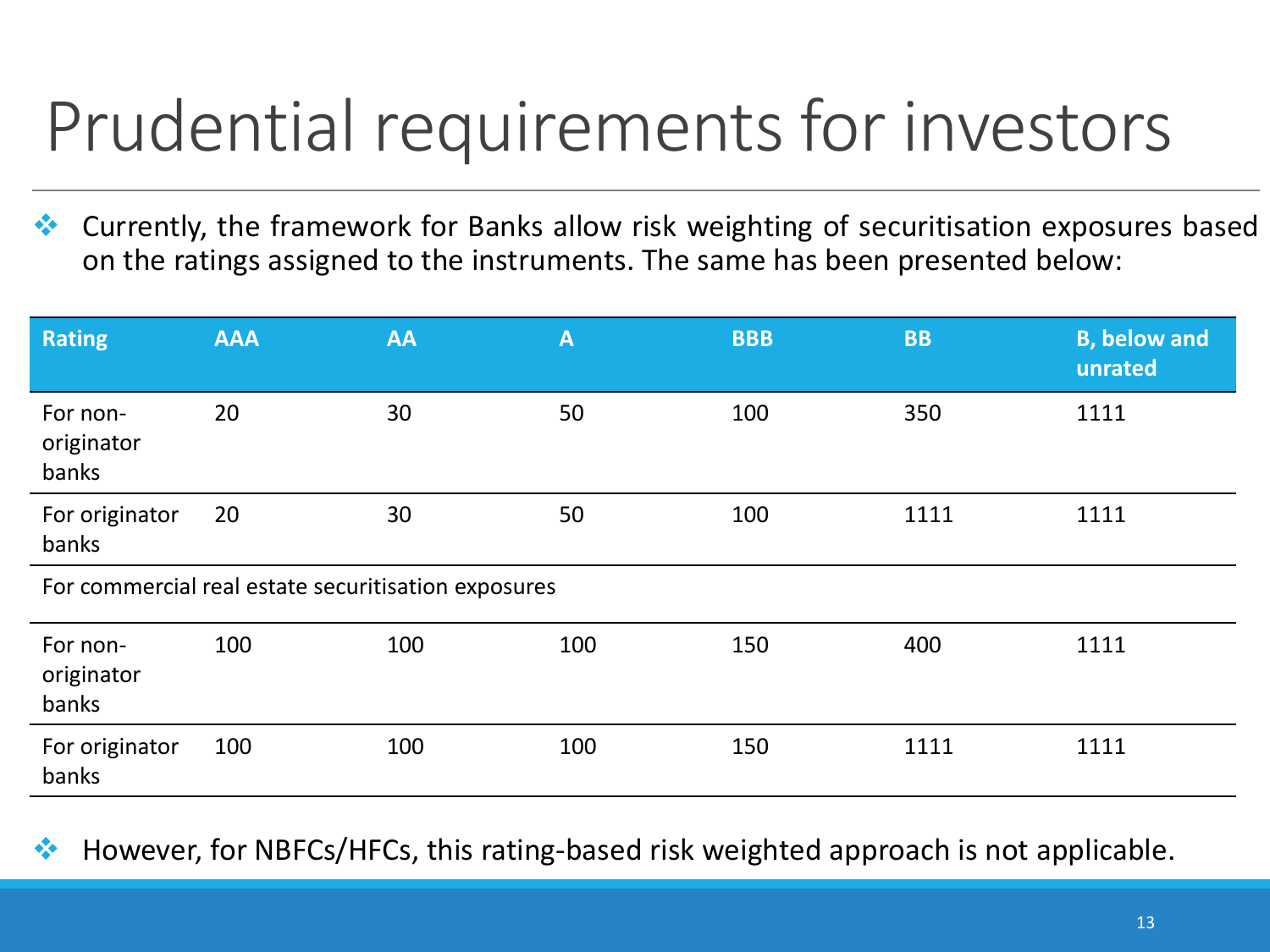## Prudential requirements for investors

 Currently, the framework for Banks allow risk weighting of securitisation exposures based on the ratings assigned to the instruments. The same has been presented below:

| <b>Rating</b>                   | <b>AAA</b>                                          | <b>AA</b> | $\mathbf{A}$ | <b>BBB</b> | <b>BB</b> | <b>B, below and</b><br>unrated |
|---------------------------------|-----------------------------------------------------|-----------|--------------|------------|-----------|--------------------------------|
| For non-<br>originator<br>banks | 20                                                  | 30        | 50           | 100        | 350       | 1111                           |
| For originator<br>banks         | 20                                                  | 30        | 50           | 100        | 1111      | 1111                           |
|                                 | For commercial real estate securitisation exposures |           |              |            |           |                                |
| For non-<br>originator<br>banks | 100                                                 | 100       | 100          | 150        | 400       | 1111                           |
| For originator<br>banks         | 100                                                 | 100       | 100          | 150        | 1111      | 1111                           |

However, for NBFCs/HFCs, this rating-based risk weighted approach is not applicable.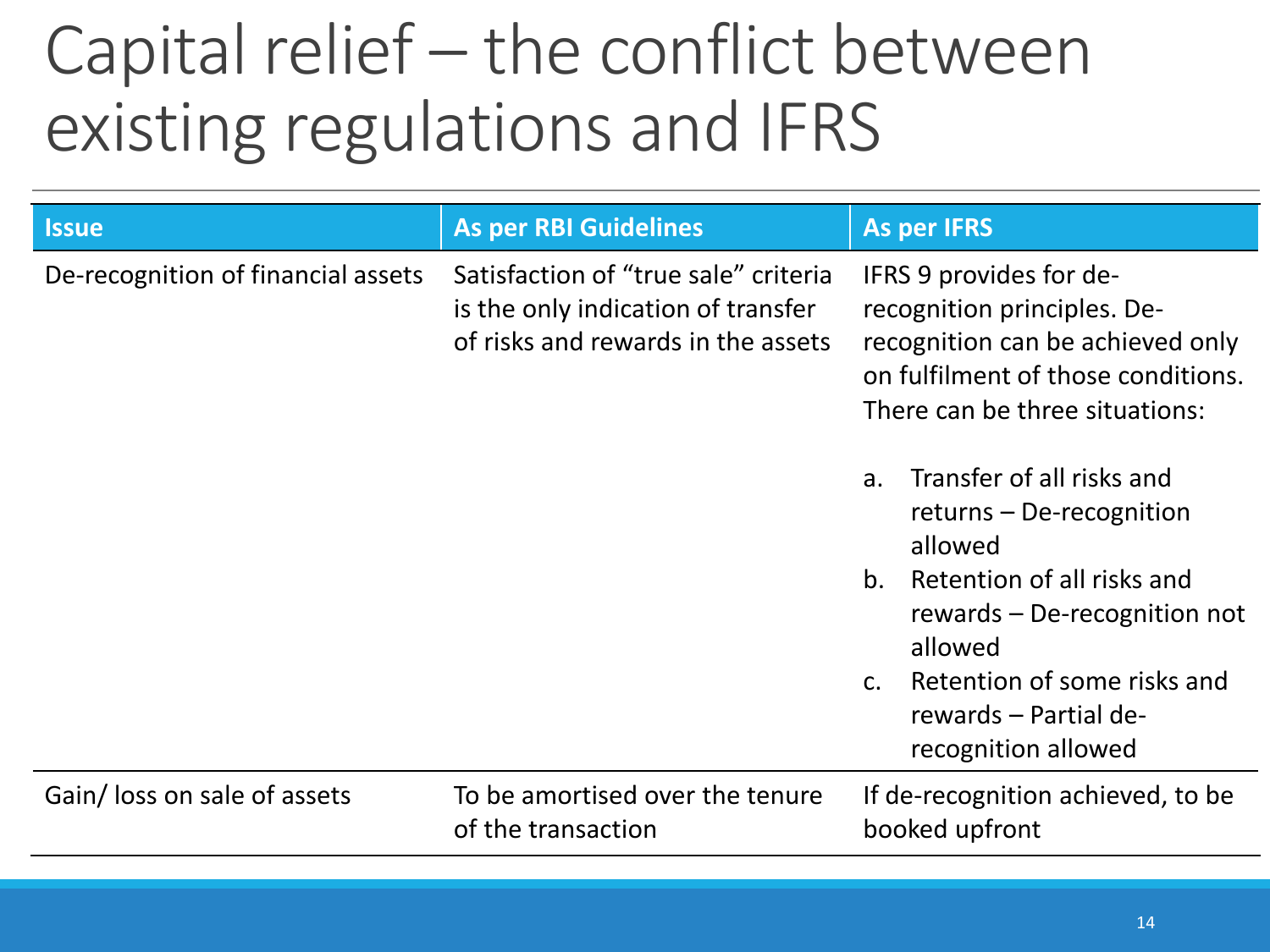### Capital relief – the conflict between existing regulations and IFRS

| <b>Issue</b>                       | <b>As per RBI Guidelines</b>                                                                                     | <b>As per IFRS</b>                                                                                                                                                                                                                                                 |
|------------------------------------|------------------------------------------------------------------------------------------------------------------|--------------------------------------------------------------------------------------------------------------------------------------------------------------------------------------------------------------------------------------------------------------------|
| De-recognition of financial assets | Satisfaction of "true sale" criteria<br>is the only indication of transfer<br>of risks and rewards in the assets | IFRS 9 provides for de-<br>recognition principles. De-<br>recognition can be achieved only<br>on fulfilment of those conditions.<br>There can be three situations:                                                                                                 |
|                                    |                                                                                                                  | Transfer of all risks and<br>a.<br>returns - De-recognition<br>allowed<br>b <sub>1</sub><br>Retention of all risks and<br>rewards - De-recognition not<br>allowed<br>Retention of some risks and<br>C <sub>1</sub><br>rewards - Partial de-<br>recognition allowed |
| Gain/ loss on sale of assets       | To be amortised over the tenure<br>of the transaction                                                            | If de-recognition achieved, to be<br>booked upfront                                                                                                                                                                                                                |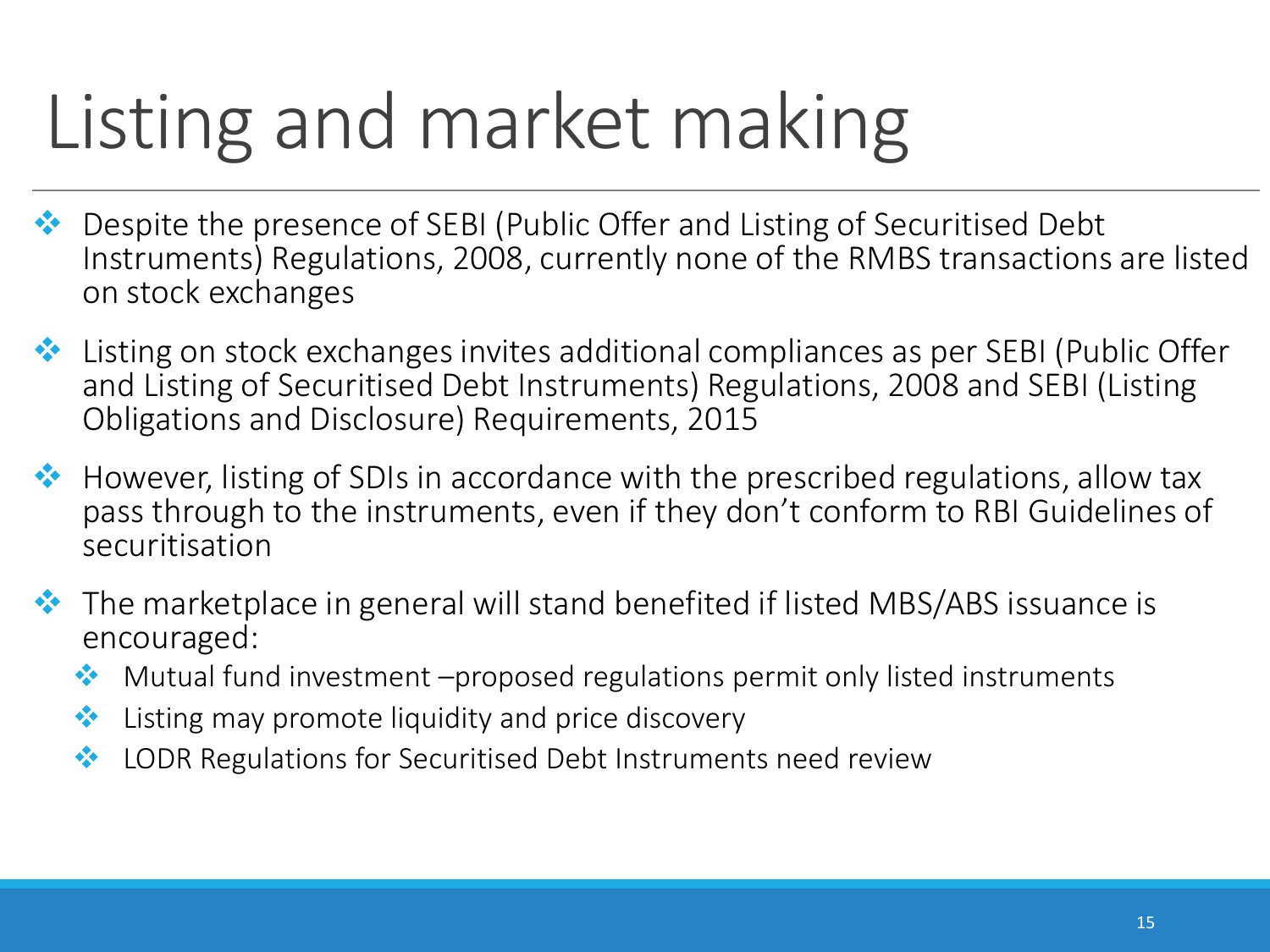# Listing and market making

- ◆ Despite the presence of SEBI (Public Offer and Listing of Securitised Debt Instruments) Regulations, 2008, currently none of the RMBS transactions are listed on stock exchanges
- ◆ Listing on stock exchanges invites additional compliances as per SEBI (Public Offer and Listing of Securitised Debt Instruments) Regulations, 2008 and SEBI (Listing Obligations and Disclosure) Requirements, 2015
- $\leftrightarrow$  However, listing of SDIs in accordance with the prescribed regulations, allow tax pass through to the instruments, even if they don't conform to RBI Guidelines of securitisation
- ◆ The marketplace in general will stand benefited if listed MBS/ABS issuance is encouraged:
	- $\cdot$  Mutual fund investment –proposed regulations permit only listed instruments
	- $\bullet\bullet$  Listing may promote liquidity and price discovery
	- **♦ LODR Regulations for Securitised Debt Instruments need review**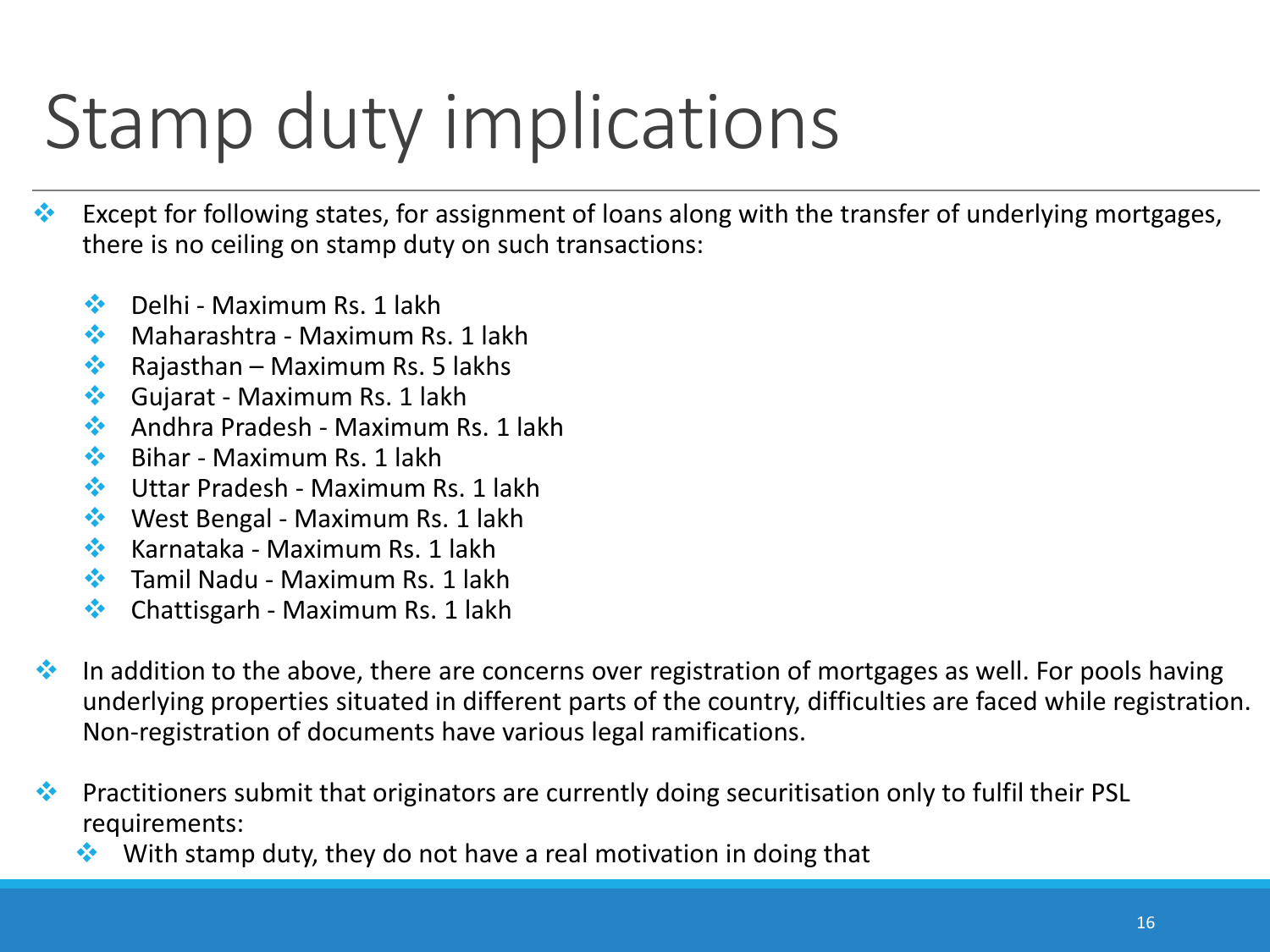## Stamp duty implications

- $\cdot$  Except for following states, for assignment of loans along with the transfer of underlying mortgages, there is no ceiling on stamp duty on such transactions:
	- $\triangleleft$  Delhi Maximum Rs. 1 lakh
	- $\triangleq$  Maharashtra Maximum Rs. 1 lakh
	- $\triangleq$  Rajasthan Maximum Rs. 5 lakhs
	- Gujarat Maximum Rs. 1 lakh
	- Andhra Pradesh Maximum Rs. 1 lakh
	- $\triangle$  Bihar Maximum Rs. 1 lakh
	- **❖** Uttar Pradesh Maximum Rs. 1 lakh
	- ◆ West Bengal Maximum Rs. 1 lakh
	- $\triangleleft$  Karnataka Maximum Rs. 1 lakh
	- $\cdot$  Tamil Nadu Maximum Rs. 1 lakh
	- $\triangleleft$  Chattisgarh Maximum Rs. 1 lakh
- $\cdot$  In addition to the above, there are concerns over registration of mortgages as well. For pools having underlying properties situated in different parts of the country, difficulties are faced while registration. Non-registration of documents have various legal ramifications.
- **Practitioners submit that originators are currently doing securitisation only to fulfil their PSL** requirements:
	- With stamp duty, they do not have a real motivation in doing that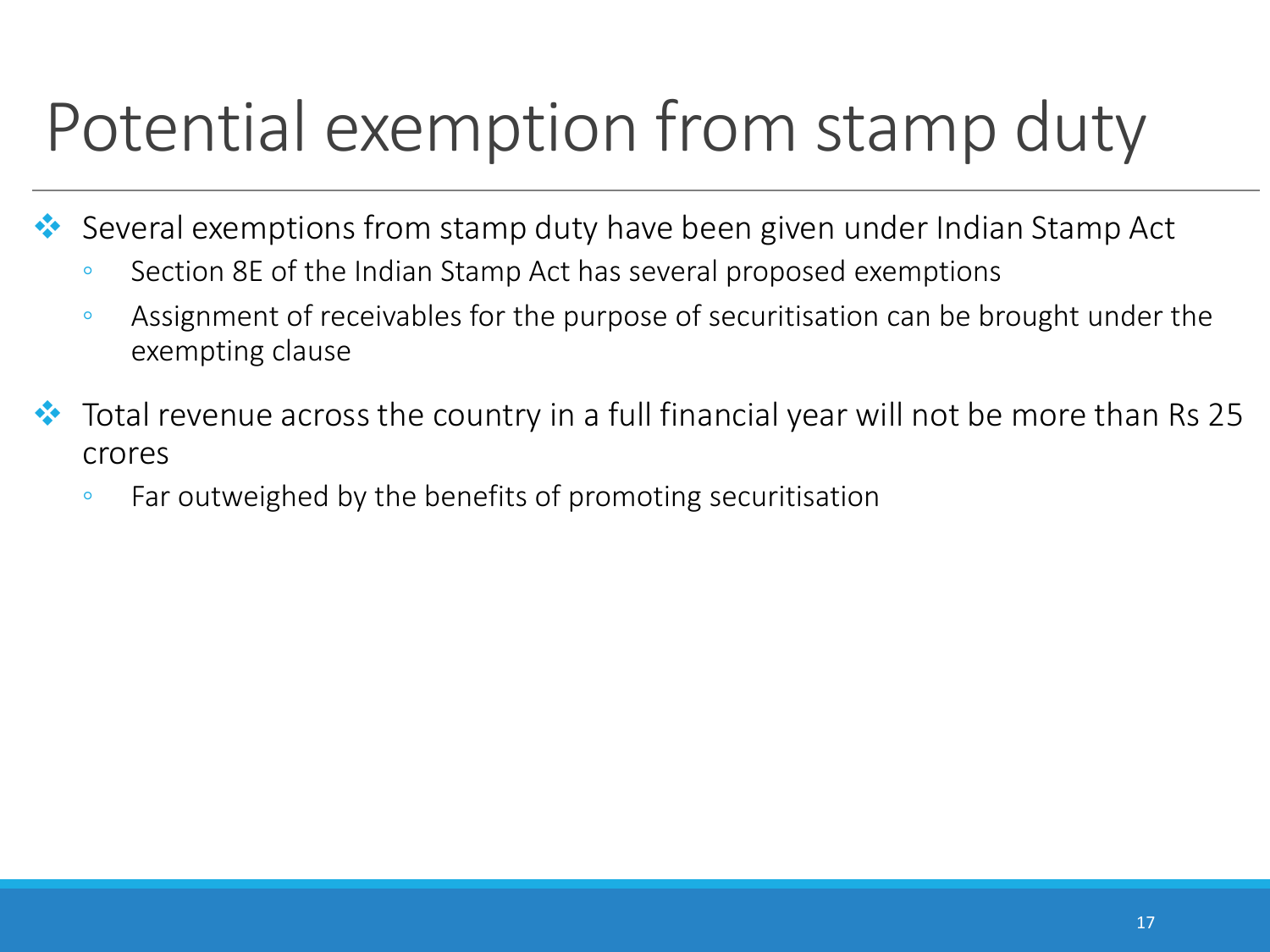## Potential exemption from stamp duty

Several exemptions from stamp duty have been given under Indian Stamp Act

- Section 8E of the Indian Stamp Act has several proposed exemptions
- Assignment of receivables for the purpose of securitisation can be brought under the exempting clause
- Total revenue across the country in a full financial year will not be more than Rs 25 crores
	- Far outweighed by the benefits of promoting securitisation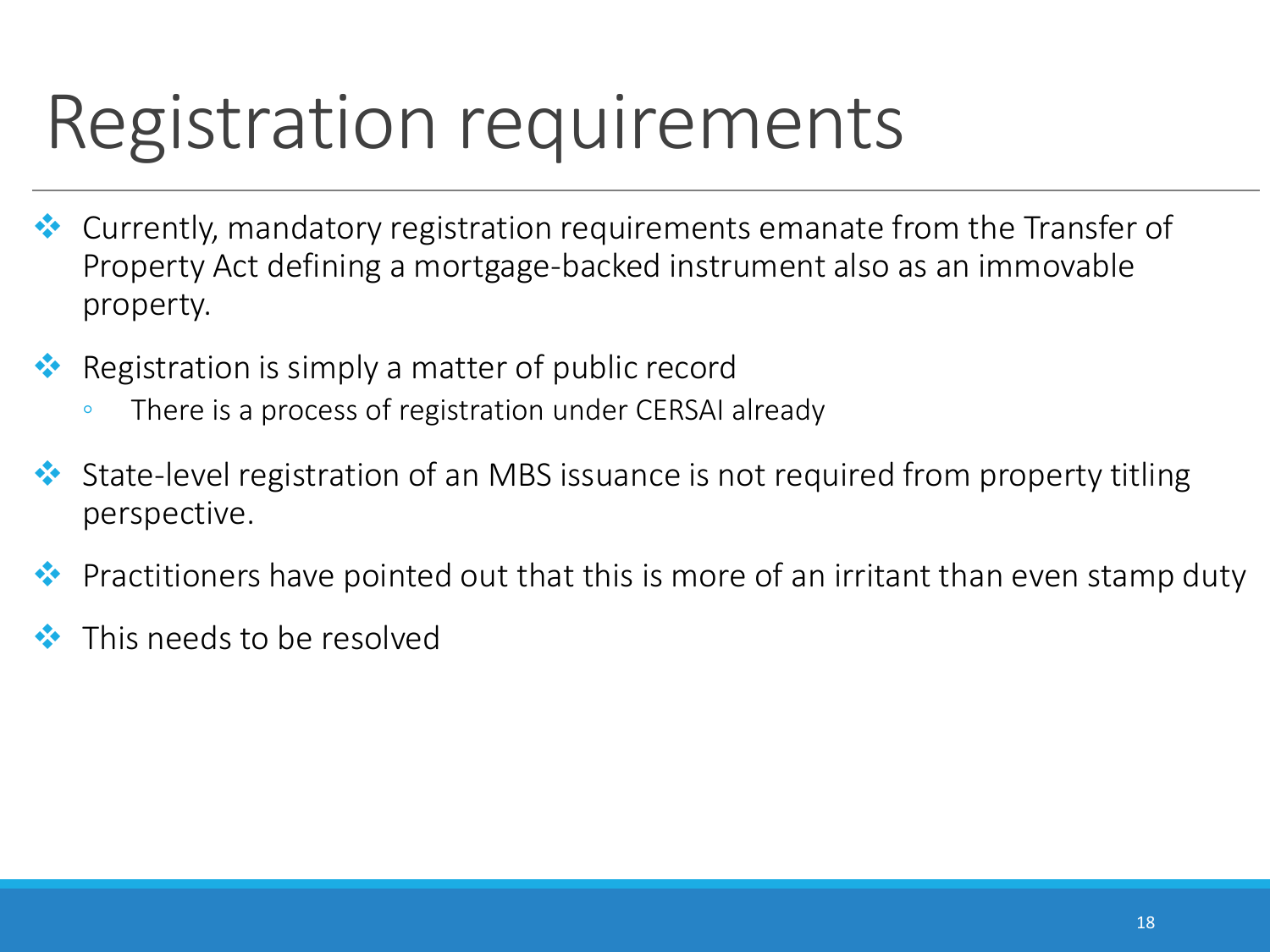## Registration requirements

- Currently, mandatory registration requirements emanate from the Transfer of Property Act defining a mortgage-backed instrument also as an immovable property.
- Registration is simply a matter of public record
	- There is a process of registration under CERSAI already
- State-level registration of an MBS issuance is not required from property titling perspective.
- Practitioners have pointed out that this is more of an irritant than even stamp duty
- This needs to be resolved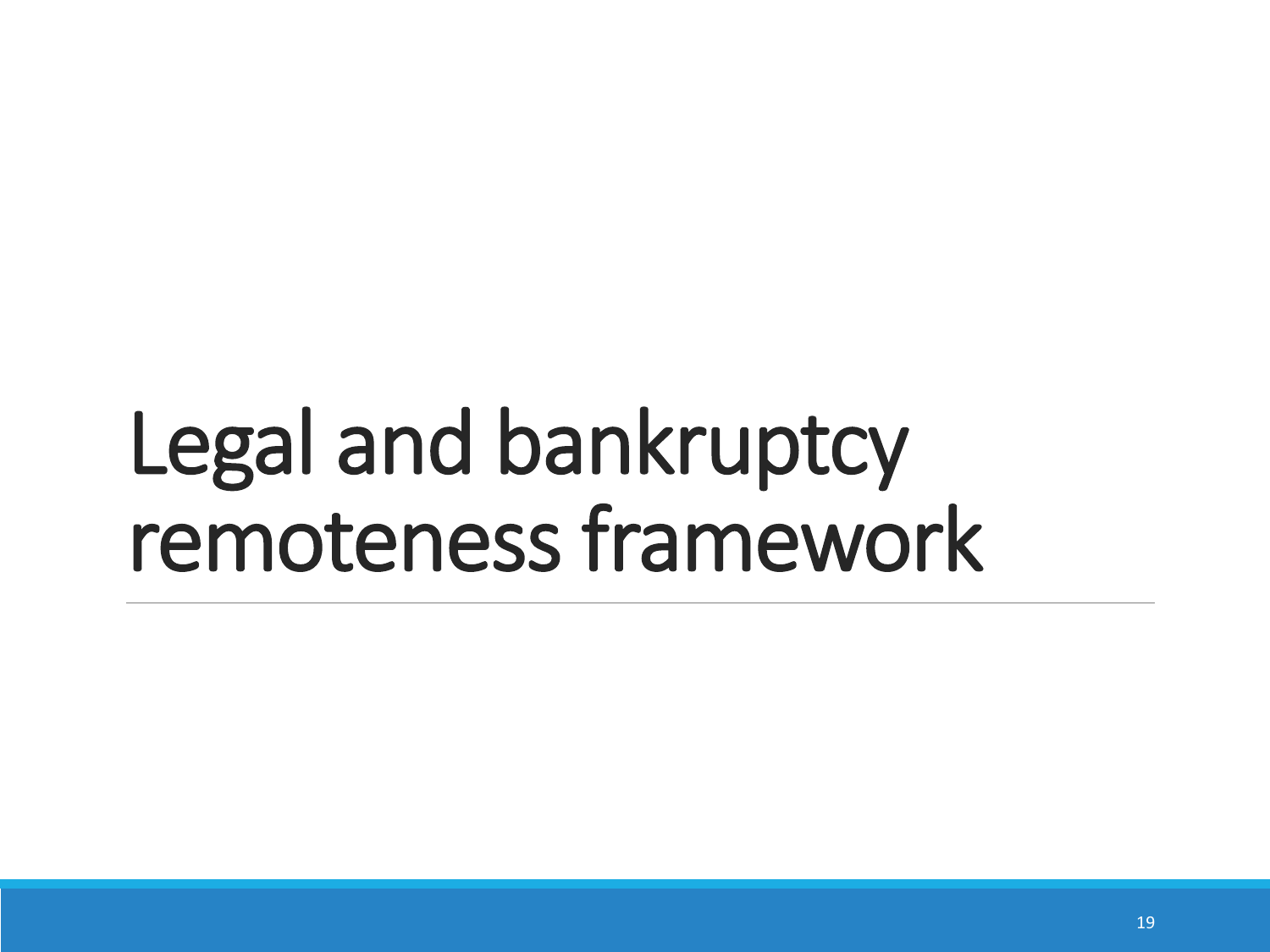# Legal and bankruptcy remoteness framework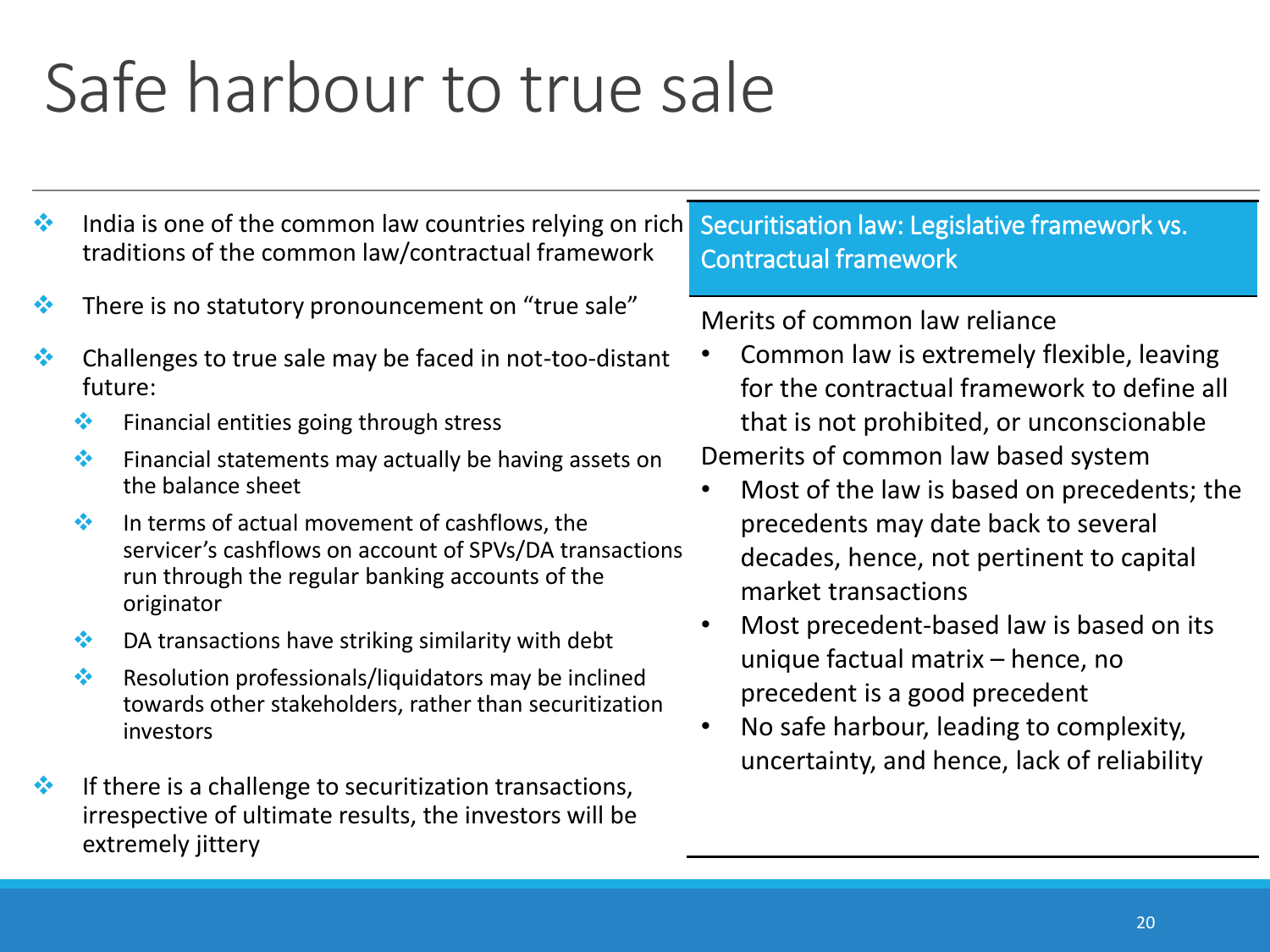### Safe harbour to true sale

- $\cdot$  India is one of the common law countries relying on rich traditions of the common law/contractual framework
- $\cdot$  There is no statutory pronouncement on "true sale"
- $\bullet\bullet$  Challenges to true sale may be faced in not-too-distant future:
	- $\cdot \cdot$  Financial entities going through stress
	- $\cdot$  Financial statements may actually be having assets on the balance sheet
	- $\cdot$  In terms of actual movement of cashflows, the servicer's cashflows on account of SPVs/DA transactions run through the regular banking accounts of the originator
	- $\bullet$  DA transactions have striking similarity with debt
	- $\cdot$  Resolution professionals/liquidators may be inclined towards other stakeholders, rather than securitization investors
- $\cdot$  If there is a challenge to securitization transactions, irrespective of ultimate results, the investors will be extremely jittery

#### Securitisation law: Legislative framework vs. Contractual framework

#### Merits of common law reliance

• Common law is extremely flexible, leaving for the contractual framework to define all that is not prohibited, or unconscionable

Demerits of common law based system

- Most of the law is based on precedents; the precedents may date back to several decades, hence, not pertinent to capital market transactions
- Most precedent-based law is based on its unique factual matrix – hence, no precedent is a good precedent
- No safe harbour, leading to complexity, uncertainty, and hence, lack of reliability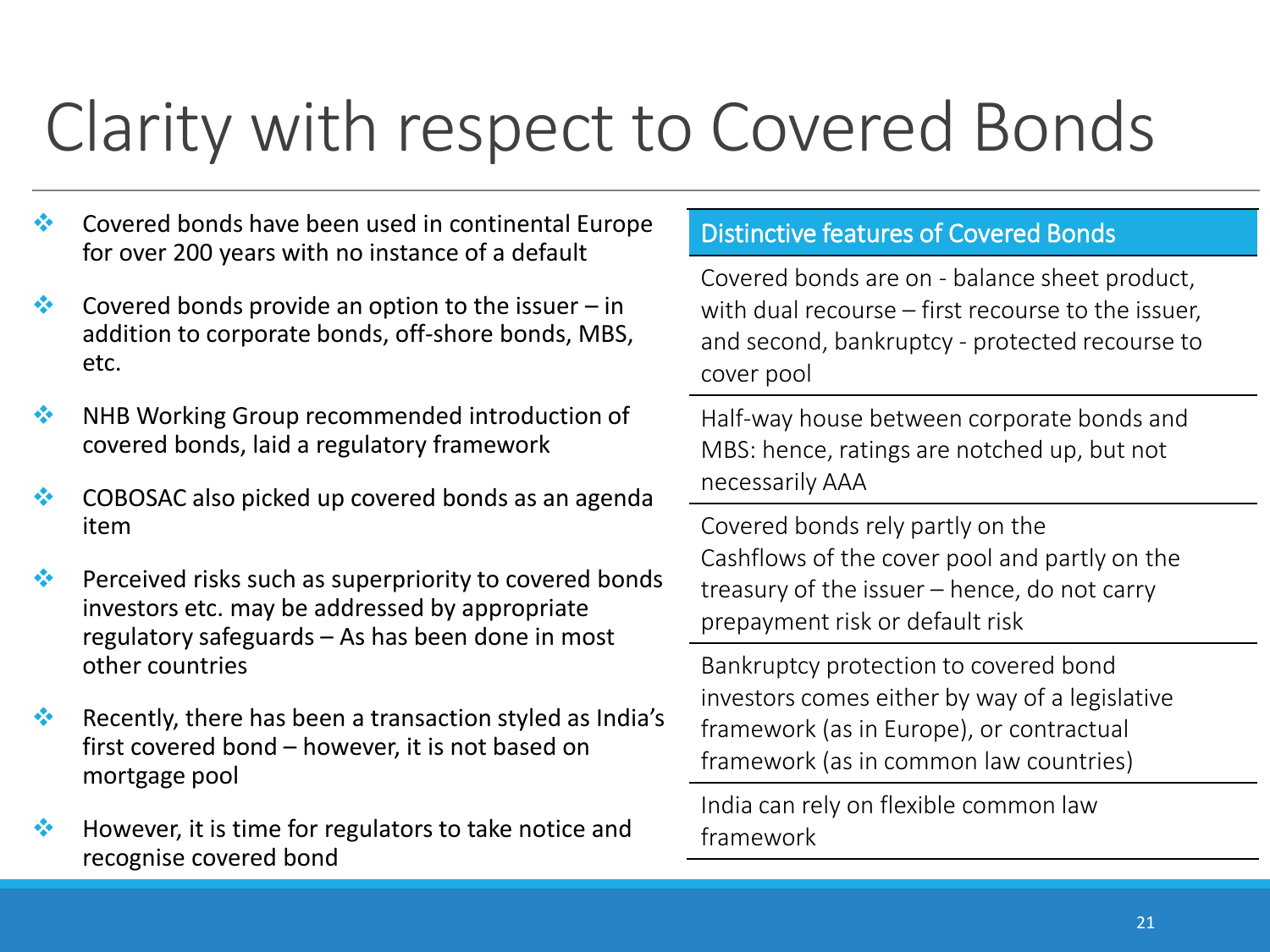## Clarity with respect to Covered Bonds

- ◆ Covered bonds have been used in continental Europe for over 200 years with no instance of a default
- $\bullet\bullet$  Covered bonds provide an option to the issuer in addition to corporate bonds, off-shore bonds, MBS, etc.
- **EXECUTE:** NHB Working Group recommended introduction of covered bonds, laid a regulatory framework
- ◆ COBOSAC also picked up covered bonds as an agenda item
- $\bullet\bullet$  Perceived risks such as superpriority to covered bonds investors etc. may be addressed by appropriate regulatory safeguards – As has been done in most other countries
- Recently, there has been a transaction styled as India's first covered bond – however, it is not based on mortgage pool
- $\bullet\bullet$  However, it is time for regulators to take notice and recognise covered bond

#### Distinctive features of Covered Bonds

Covered bonds are on - balance sheet product, with dual recourse – first recourse to the issuer, and second, bankruptcy - protected recourse to cover pool

Half-way house between corporate bonds and MBS: hence, ratings are notched up, but not necessarily AAA

Covered bonds rely partly on the Cashflows of the cover pool and partly on the treasury of the issuer – hence, do not carry prepayment risk or default risk

Bankruptcy protection to covered bond investors comes either by way of a legislative framework (as in Europe), or contractual framework (as in common law countries)

India can rely on flexible common law framework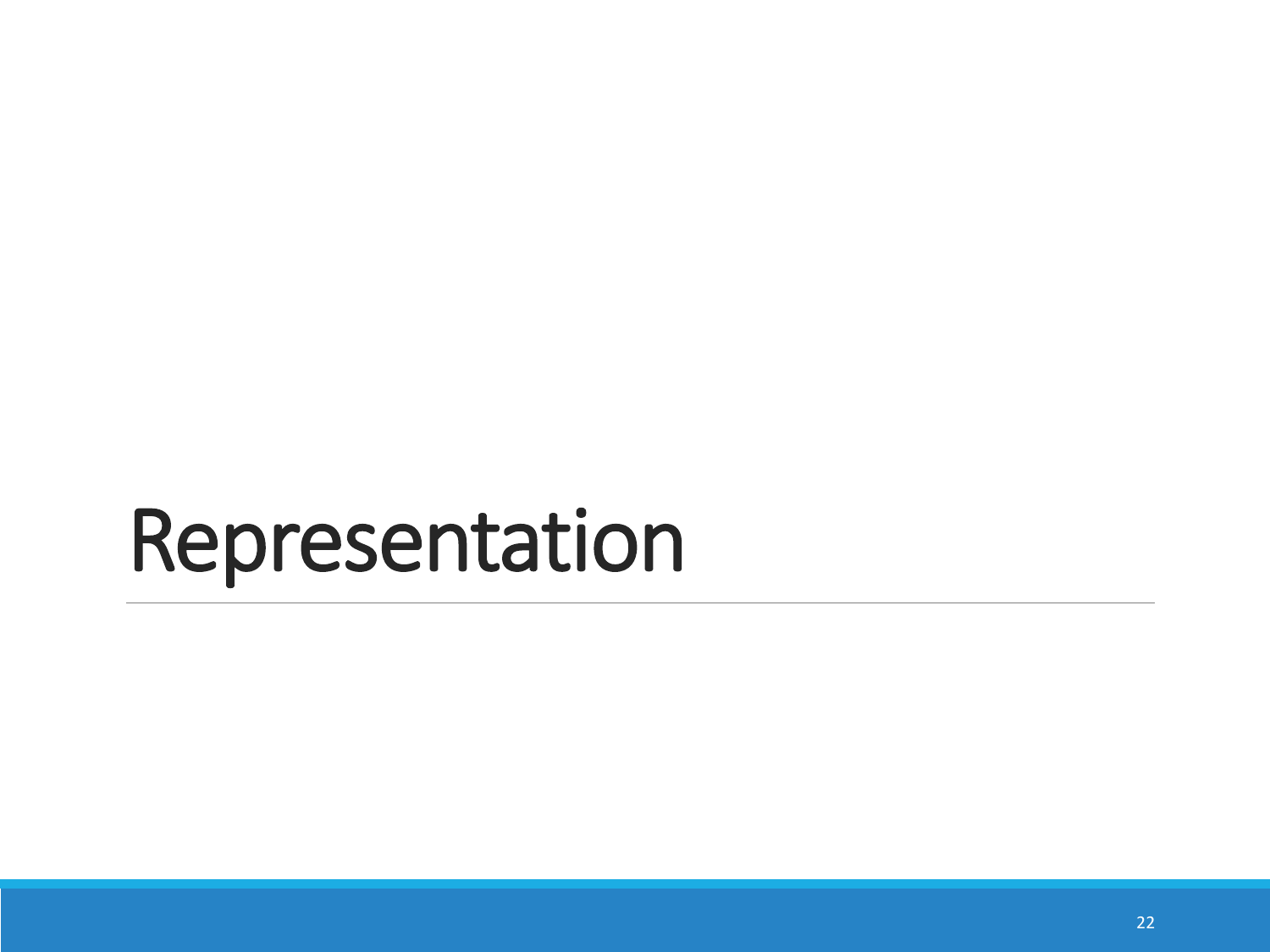# Representation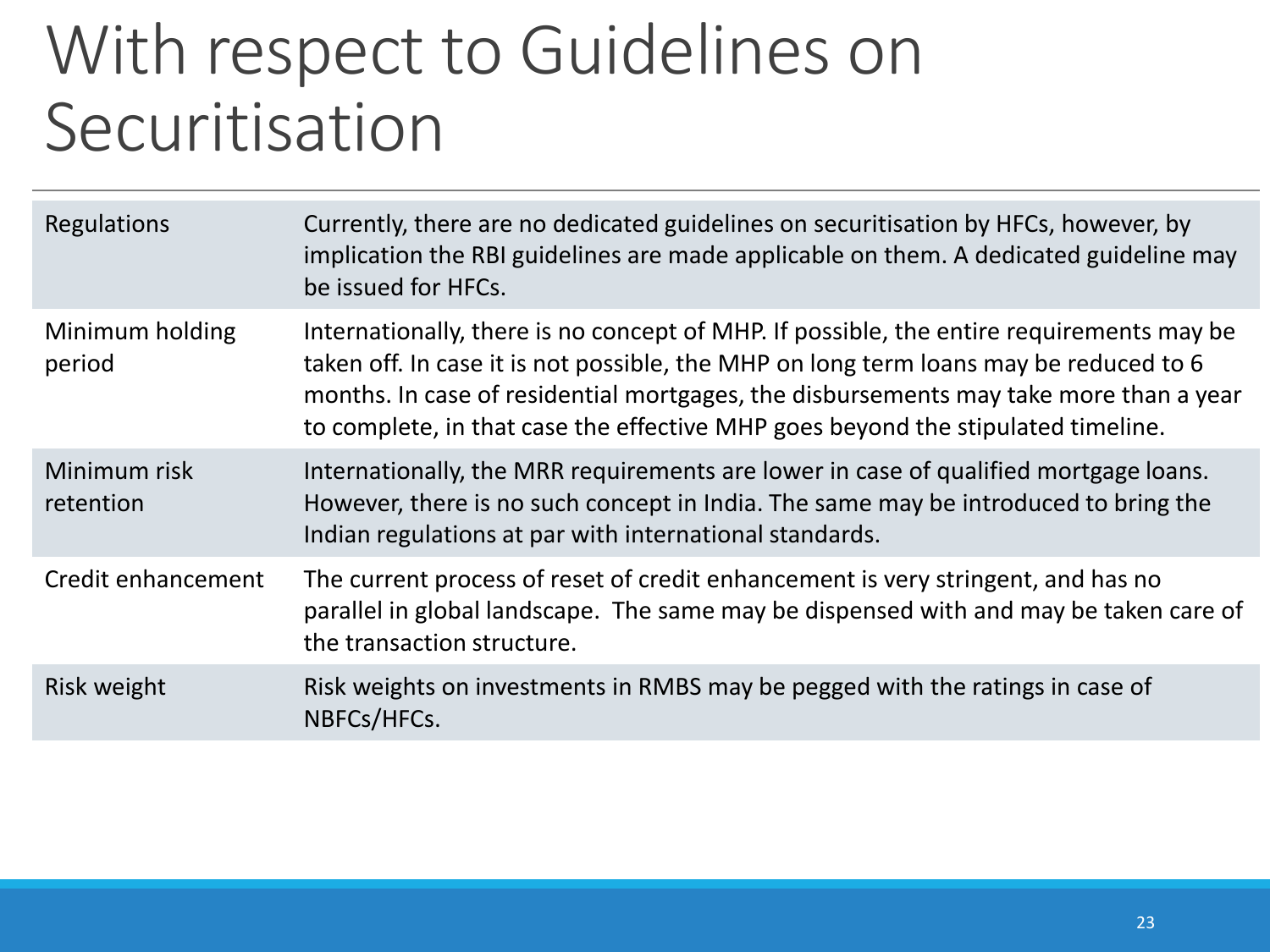### With respect to Guidelines on Securitisation

| Regulations               | Currently, there are no dedicated guidelines on securitisation by HFCs, however, by<br>implication the RBI guidelines are made applicable on them. A dedicated guideline may<br>be issued for HFCs.                                                                                                                                                            |
|---------------------------|----------------------------------------------------------------------------------------------------------------------------------------------------------------------------------------------------------------------------------------------------------------------------------------------------------------------------------------------------------------|
| Minimum holding<br>period | Internationally, there is no concept of MHP. If possible, the entire requirements may be<br>taken off. In case it is not possible, the MHP on long term loans may be reduced to 6<br>months. In case of residential mortgages, the disbursements may take more than a year<br>to complete, in that case the effective MHP goes beyond the stipulated timeline. |
| Minimum risk<br>retention | Internationally, the MRR requirements are lower in case of qualified mortgage loans.<br>However, there is no such concept in India. The same may be introduced to bring the<br>Indian regulations at par with international standards.                                                                                                                         |
| Credit enhancement        | The current process of reset of credit enhancement is very stringent, and has no<br>parallel in global landscape. The same may be dispensed with and may be taken care of<br>the transaction structure.                                                                                                                                                        |
| Risk weight               | Risk weights on investments in RMBS may be pegged with the ratings in case of<br>NBFCs/HFCs.                                                                                                                                                                                                                                                                   |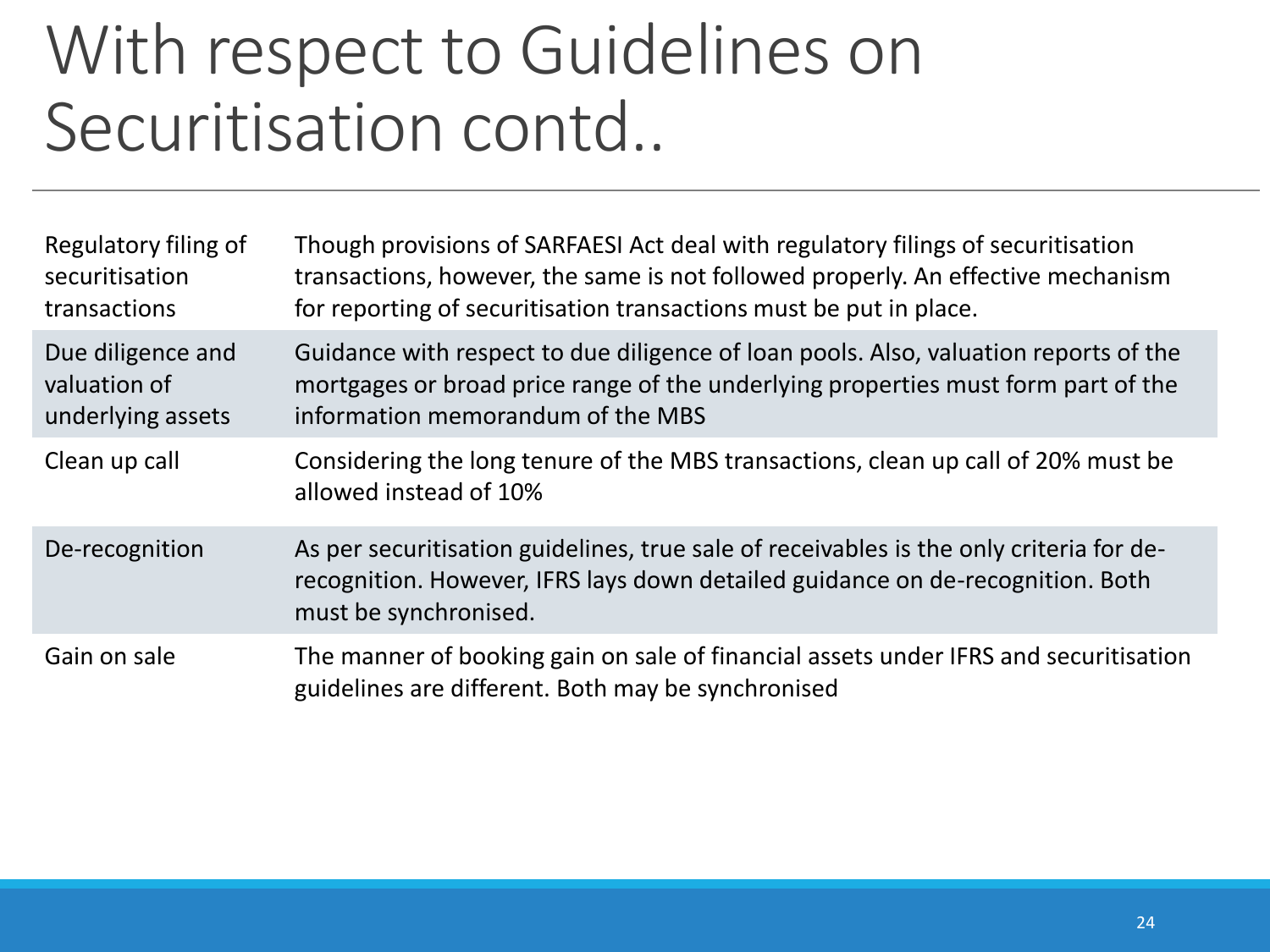### With respect to Guidelines on Securitisation contd..

| Regulatory filing of<br>securitisation<br>transactions | Though provisions of SARFAESI Act deal with regulatory filings of securitisation<br>transactions, however, the same is not followed properly. An effective mechanism<br>for reporting of securitisation transactions must be put in place. |
|--------------------------------------------------------|--------------------------------------------------------------------------------------------------------------------------------------------------------------------------------------------------------------------------------------------|
| Due diligence and<br>valuation of<br>underlying assets | Guidance with respect to due diligence of loan pools. Also, valuation reports of the<br>mortgages or broad price range of the underlying properties must form part of the<br>information memorandum of the MBS                             |
| Clean up call                                          | Considering the long tenure of the MBS transactions, clean up call of 20% must be<br>allowed instead of 10%                                                                                                                                |
| De-recognition                                         | As per securitisation guidelines, true sale of receivables is the only criteria for de-<br>recognition. However, IFRS lays down detailed guidance on de-recognition. Both<br>must be synchronised.                                         |
| Gain on sale                                           | The manner of booking gain on sale of financial assets under IFRS and securitisation<br>guidelines are different. Both may be synchronised                                                                                                 |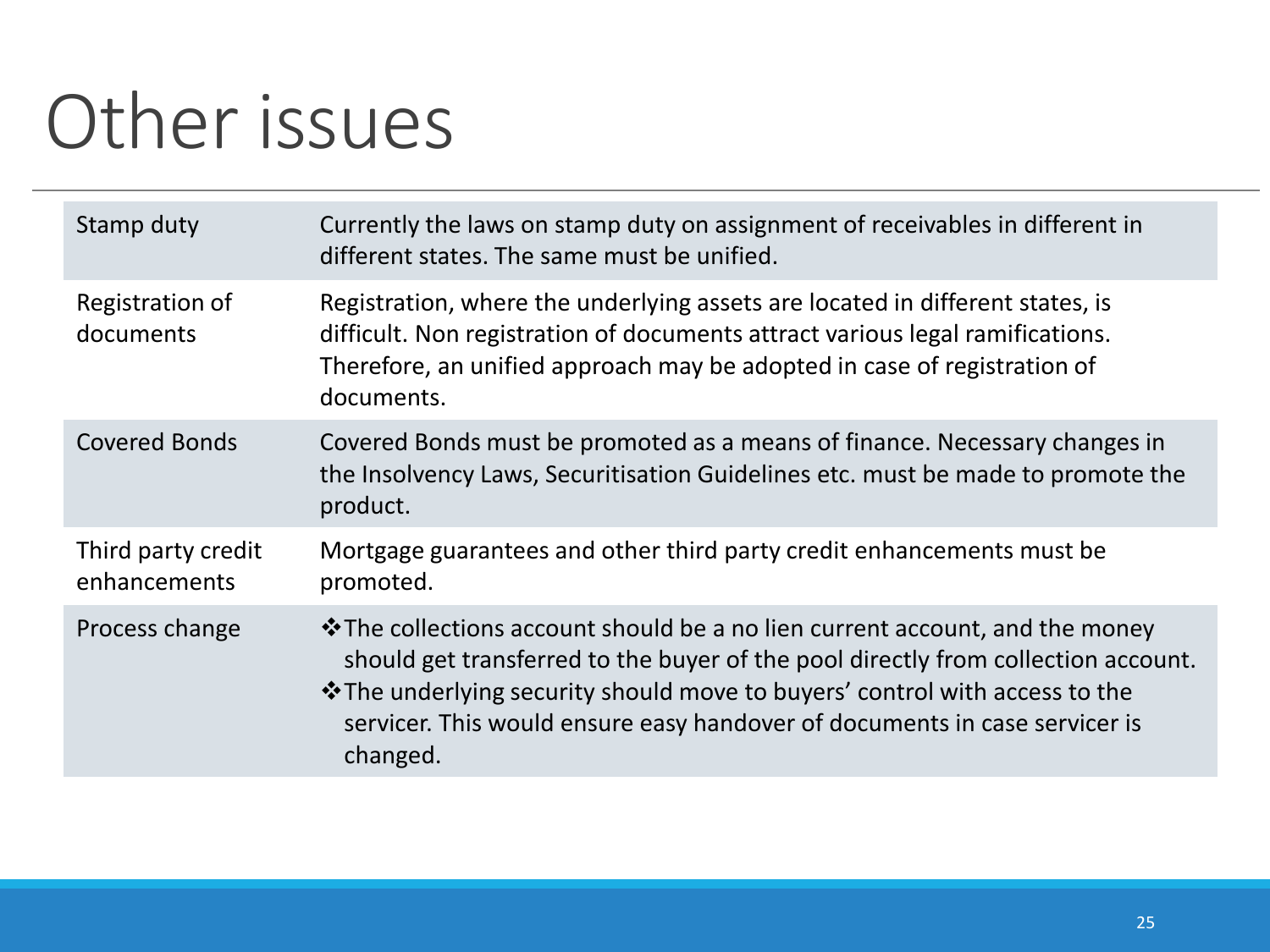## Other issues

| Stamp duty                         | Currently the laws on stamp duty on assignment of receivables in different in<br>different states. The same must be unified.                                                                                                                                                                                                                     |
|------------------------------------|--------------------------------------------------------------------------------------------------------------------------------------------------------------------------------------------------------------------------------------------------------------------------------------------------------------------------------------------------|
| Registration of<br>documents       | Registration, where the underlying assets are located in different states, is<br>difficult. Non registration of documents attract various legal ramifications.<br>Therefore, an unified approach may be adopted in case of registration of<br>documents.                                                                                         |
| <b>Covered Bonds</b>               | Covered Bonds must be promoted as a means of finance. Necessary changes in<br>the Insolvency Laws, Securitisation Guidelines etc. must be made to promote the<br>product.                                                                                                                                                                        |
| Third party credit<br>enhancements | Mortgage guarantees and other third party credit enhancements must be<br>promoted.                                                                                                                                                                                                                                                               |
| Process change                     | $\cdot$ The collections account should be a no lien current account, and the money<br>should get transferred to the buyer of the pool directly from collection account.<br>* The underlying security should move to buyers' control with access to the<br>servicer. This would ensure easy handover of documents in case servicer is<br>changed. |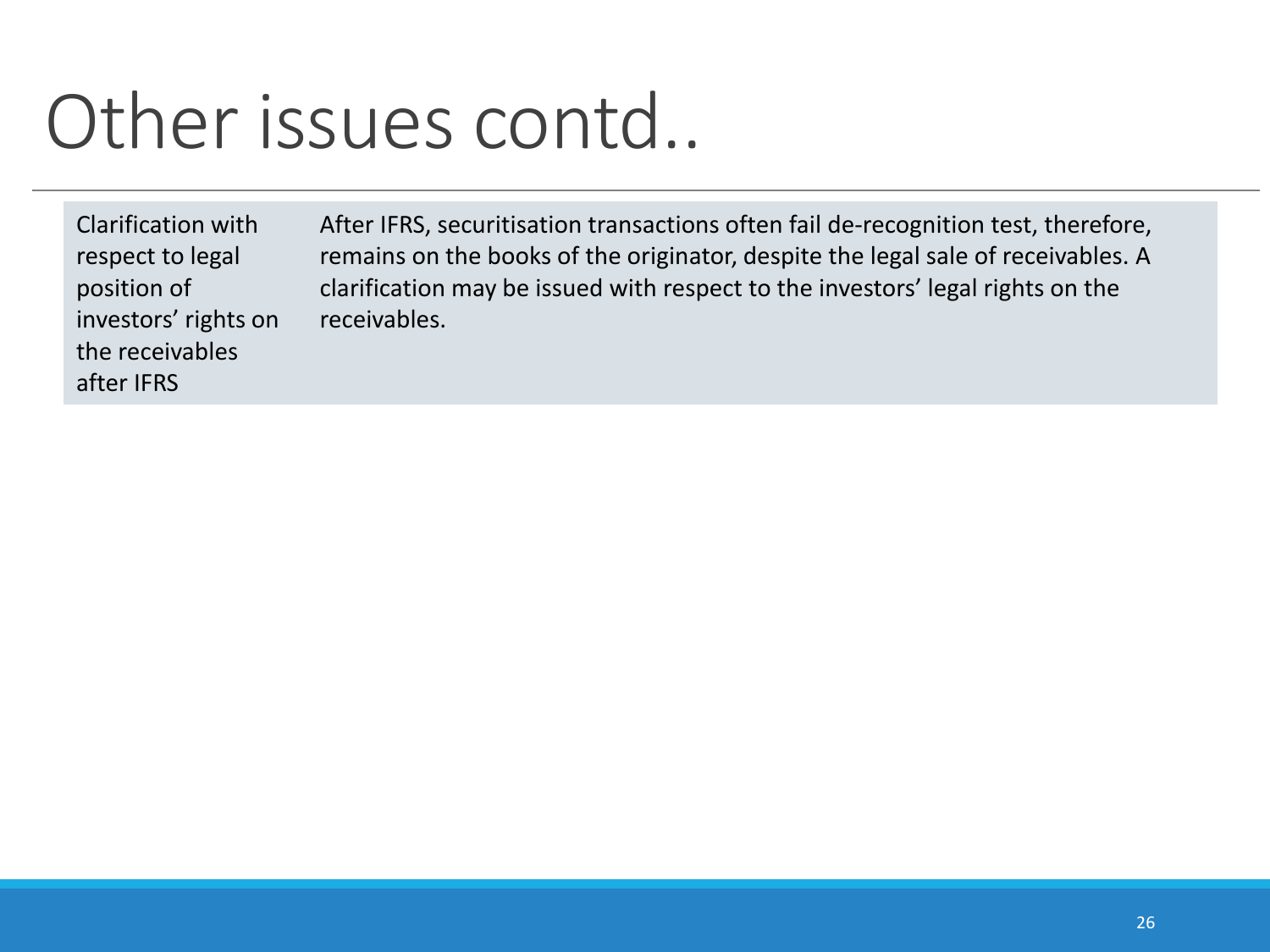## Other issues contd..

Clarification with respect to legal position of investors' rights on the receivables after IFRS

After IFRS, securitisation transactions often fail de-recognition test, therefore, remains on the books of the originator, despite the legal sale of receivables. A clarification may be issued with respect to the investors' legal rights on the receivables.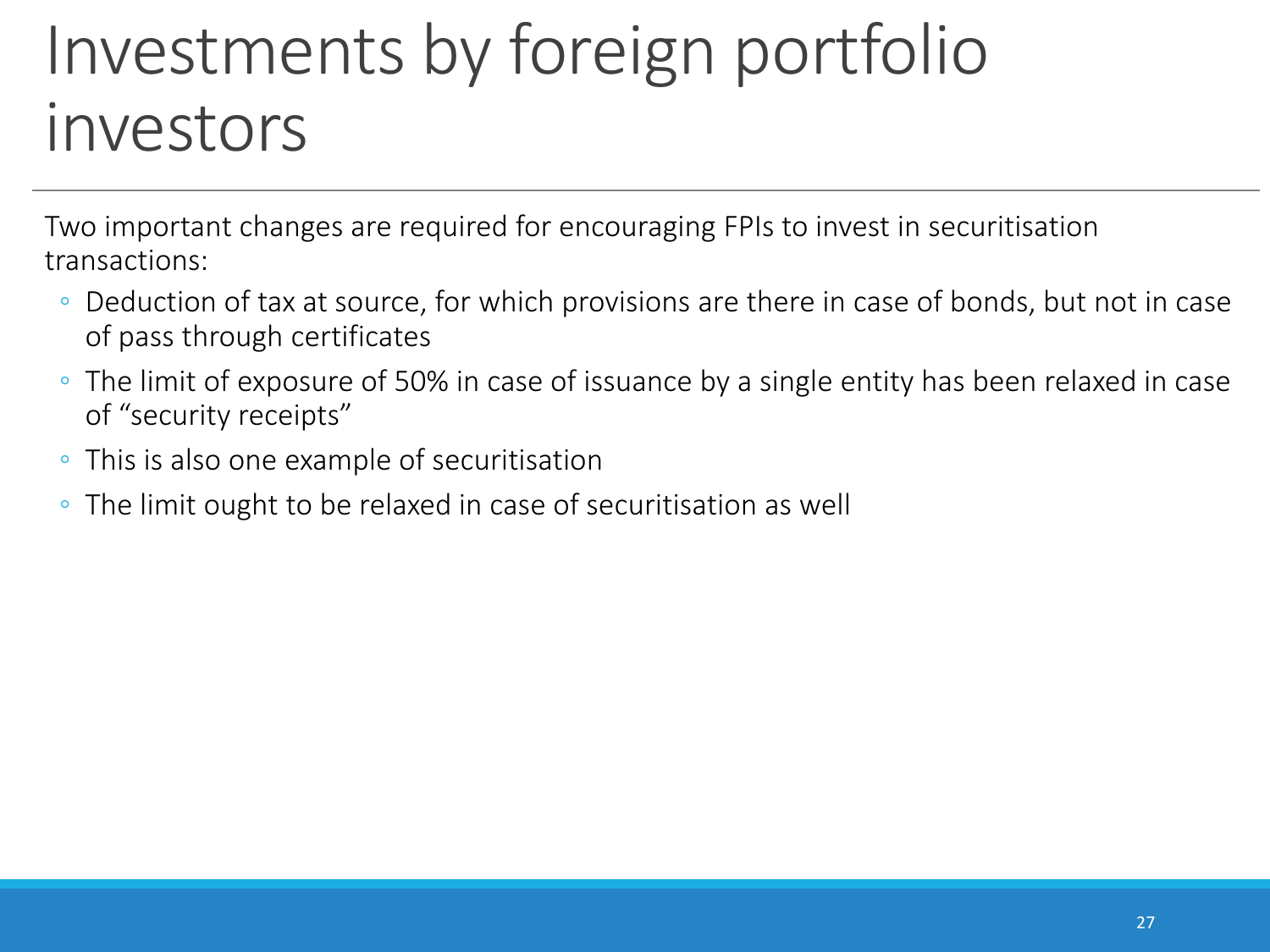### Investments by foreign portfolio investors

Two important changes are required for encouraging FPIs to invest in securitisation transactions:

- Deduction of tax at source, for which provisions are there in case of bonds, but not in case of pass through certificates
- The limit of exposure of 50% in case of issuance by a single entity has been relaxed in case of "security receipts"
- This is also one example of securitisation
- The limit ought to be relaxed in case of securitisation as well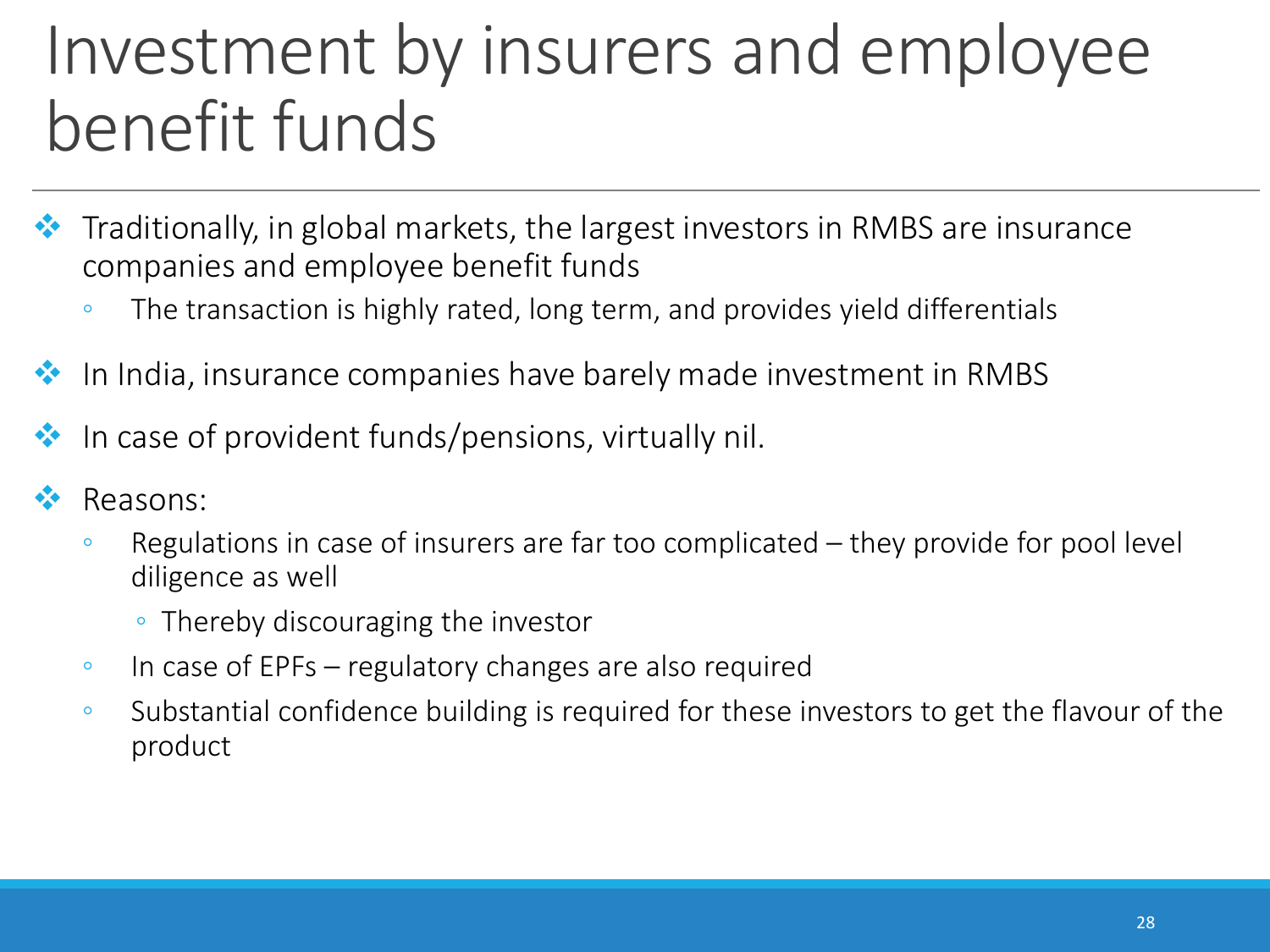### Investment by insurers and employee benefit funds

- ◆ Traditionally, in global markets, the largest investors in RMBS are insurance companies and employee benefit funds
	- The transaction is highly rated, long term, and provides yield differentials
- In India, insurance companies have barely made investment in RMBS
- In case of provident funds/pensions, virtually nil.
- Reasons:
	- Regulations in case of insurers are far too complicated they provide for pool level diligence as well
		- Thereby discouraging the investor
	- In case of EPFs regulatory changes are also required
	- Substantial confidence building is required for these investors to get the flavour of the product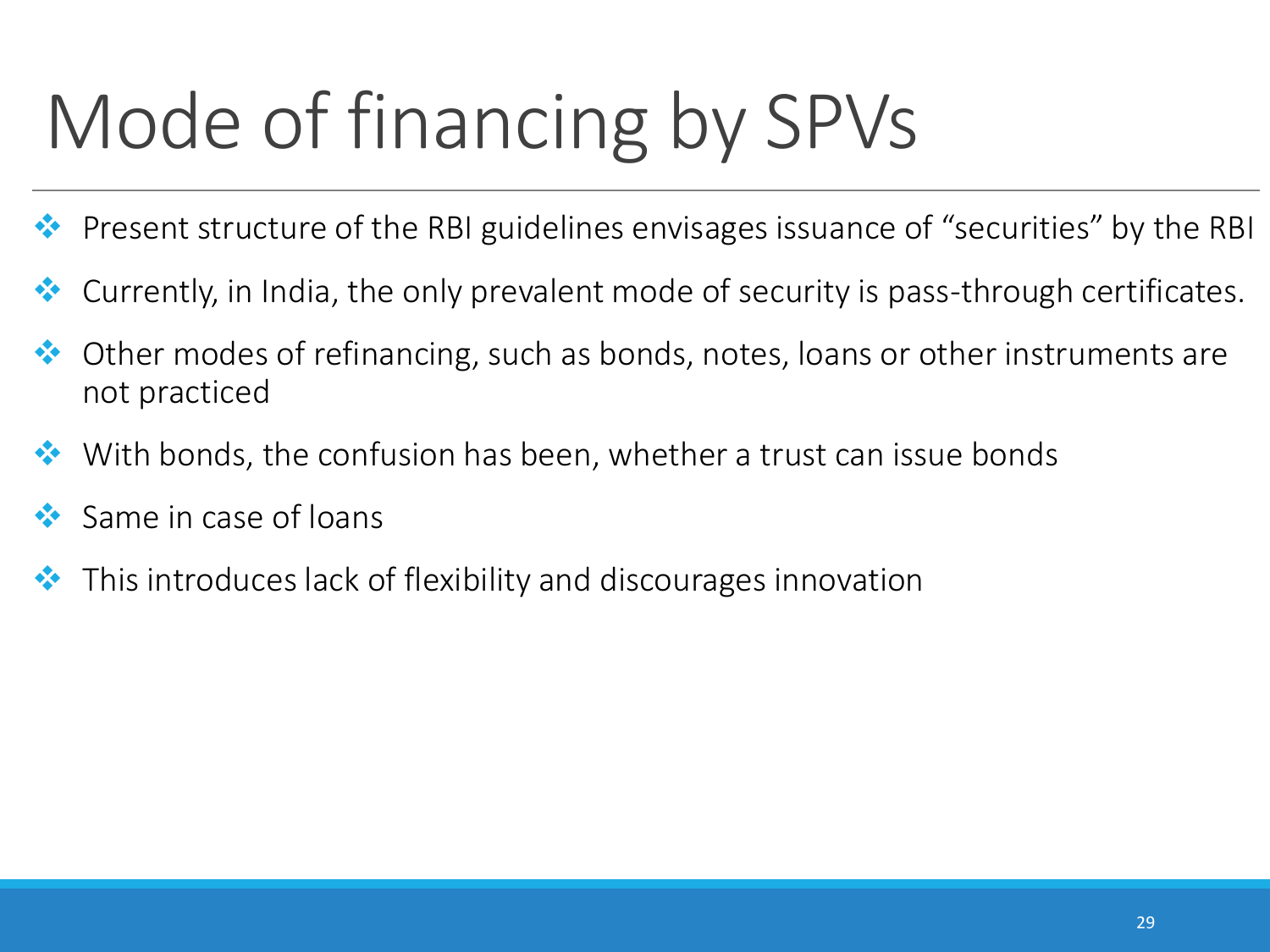# Mode of financing by SPVs

- Present structure of the RBI guidelines envisages issuance of "securities" by the RBI
- \* Currently, in India, the only prevalent mode of security is pass-through certificates.
- ◆ Other modes of refinancing, such as bonds, notes, loans or other instruments are not practiced
- $\bullet\bullet\bullet\bullet$  With bonds, the confusion has been, whether a trust can issue bonds
- Same in case of loans
- $\cdot$  This introduces lack of flexibility and discourages innovation